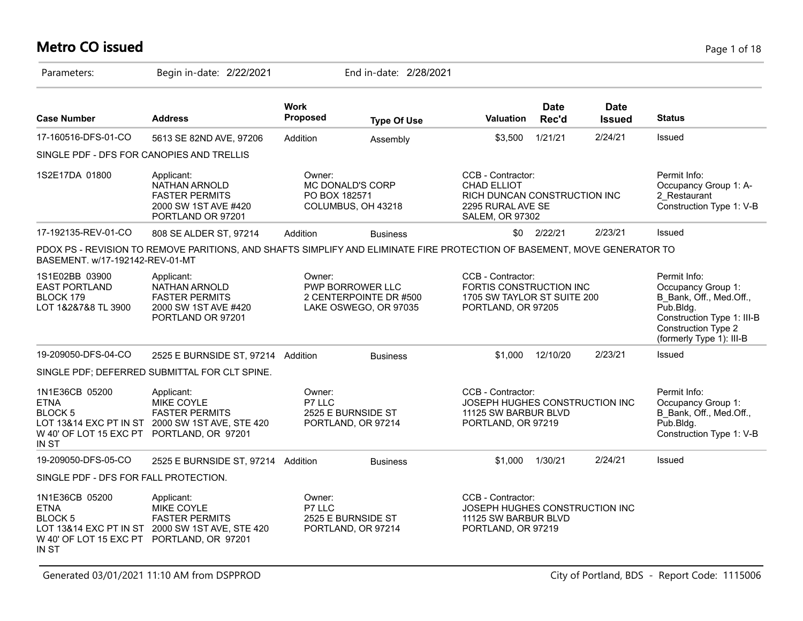## **Metro CO issued** Page 1 of 18

| Parameters:                                                                                           | Begin in-date: 2/22/2021                                                                                                 |                         | End in-date: 2/28/2021                                              |                                                                                                                        |                      |                              |                                                                                                                                                             |
|-------------------------------------------------------------------------------------------------------|--------------------------------------------------------------------------------------------------------------------------|-------------------------|---------------------------------------------------------------------|------------------------------------------------------------------------------------------------------------------------|----------------------|------------------------------|-------------------------------------------------------------------------------------------------------------------------------------------------------------|
| <b>Case Number</b>                                                                                    | <b>Address</b>                                                                                                           | <b>Work</b><br>Proposed | <b>Type Of Use</b>                                                  | Valuation                                                                                                              | <b>Date</b><br>Rec'd | <b>Date</b><br><b>Issued</b> | <b>Status</b>                                                                                                                                               |
| 17-160516-DFS-01-CO                                                                                   | 5613 SE 82ND AVE, 97206                                                                                                  | Addition                | Assembly                                                            | \$3,500                                                                                                                | 1/21/21              | 2/24/21                      | Issued                                                                                                                                                      |
| SINGLE PDF - DFS FOR CANOPIES AND TRELLIS                                                             |                                                                                                                          |                         |                                                                     |                                                                                                                        |                      |                              |                                                                                                                                                             |
| 1S2E17DA 01800                                                                                        | Applicant:<br>NATHAN ARNOLD<br><b>FASTER PERMITS</b><br>2000 SW 1ST AVE #420<br>PORTLAND OR 97201                        | Owner:<br>PO BOX 182571 | <b>MC DONALD'S CORP</b><br>COLUMBUS, OH 43218                       | CCB - Contractor:<br><b>CHAD ELLIOT</b><br>RICH DUNCAN CONSTRUCTION INC<br>2295 RURAL AVE SE<br><b>SALEM, OR 97302</b> |                      |                              | Permit Info:<br>Occupancy Group 1: A-<br>2 Restaurant<br>Construction Type 1: V-B                                                                           |
| 17-192135-REV-01-CO                                                                                   | 808 SE ALDER ST, 97214                                                                                                   | Addition                | <b>Business</b>                                                     | \$0                                                                                                                    | 2/22/21              | 2/23/21                      | Issued                                                                                                                                                      |
| BASEMENT. w/17-192142-REV-01-MT                                                                       | PDOX PS - REVISION TO REMOVE PARITIONS, AND SHAFTS SIMPLIFY AND ELIMINATE FIRE PROTECTION OF BASEMENT, MOVE GENERATOR TO |                         |                                                                     |                                                                                                                        |                      |                              |                                                                                                                                                             |
| 1S1E02BB 03900<br><b>EAST PORTLAND</b><br>BLOCK 179<br>LOT 1&2&7&8 TL 3900                            | Applicant:<br>NATHAN ARNOLD<br><b>FASTER PERMITS</b><br>2000 SW 1ST AVE #420<br>PORTLAND OR 97201                        | Owner:                  | PWP BORROWER LLC<br>2 CENTERPOINTE DR #500<br>LAKE OSWEGO, OR 97035 | CCB - Contractor:<br>FORTIS CONSTRUCTION INC<br>1705 SW TAYLOR ST SUITE 200<br>PORTLAND, OR 97205                      |                      |                              | Permit Info:<br>Occupancy Group 1:<br>B_Bank, Off., Med.Off.,<br>Pub.Bldg.<br>Construction Type 1: III-B<br>Construction Type 2<br>(formerly Type 1): III-B |
| 19-209050-DFS-04-CO                                                                                   | 2525 E BURNSIDE ST, 97214 Addition                                                                                       |                         | <b>Business</b>                                                     | \$1,000                                                                                                                | 12/10/20             | 2/23/21                      | Issued                                                                                                                                                      |
|                                                                                                       | SINGLE PDF; DEFERRED SUBMITTAL FOR CLT SPINE.                                                                            |                         |                                                                     |                                                                                                                        |                      |                              |                                                                                                                                                             |
| 1N1E36CB 05200<br><b>ETNA</b><br><b>BLOCK 5</b><br>W 40' OF LOT 15 EXC PT PORTLAND, OR 97201<br>IN ST | Applicant:<br>MIKE COYLE<br><b>FASTER PERMITS</b><br>LOT 13&14 EXC PT IN ST 2000 SW 1ST AVE, STE 420                     | Owner:<br>P7 LLC        | 2525 E BURNSIDE ST<br>PORTLAND, OR 97214                            | CCB - Contractor:<br>JOSEPH HUGHES CONSTRUCTION INC<br>11125 SW BARBUR BLVD<br>PORTLAND, OR 97219                      |                      |                              | Permit Info:<br>Occupancy Group 1:<br>B Bank, Off., Med.Off.,<br>Pub.Bldg.<br>Construction Type 1: V-B                                                      |
| 19-209050-DFS-05-CO                                                                                   | 2525 E BURNSIDE ST, 97214 Addition                                                                                       |                         | <b>Business</b>                                                     | \$1,000                                                                                                                | 1/30/21              | 2/24/21                      | Issued                                                                                                                                                      |
| SINGLE PDF - DFS FOR FALL PROTECTION.                                                                 |                                                                                                                          |                         |                                                                     |                                                                                                                        |                      |                              |                                                                                                                                                             |
| 1N1E36CB 05200<br><b>ETNA</b><br><b>BLOCK 5</b><br>W 40' OF LOT 15 EXC PT PORTLAND, OR 97201<br>IN ST | Applicant:<br>MIKE COYLE<br><b>FASTER PERMITS</b><br>LOT 13&14 EXC PT IN ST 2000 SW 1ST AVE, STE 420                     | Owner:<br>P7 LLC        | 2525 E BURNSIDE ST<br>PORTLAND, OR 97214                            | CCB - Contractor:<br>JOSEPH HUGHES CONSTRUCTION INC<br>11125 SW BARBUR BLVD<br>PORTLAND, OR 97219                      |                      |                              |                                                                                                                                                             |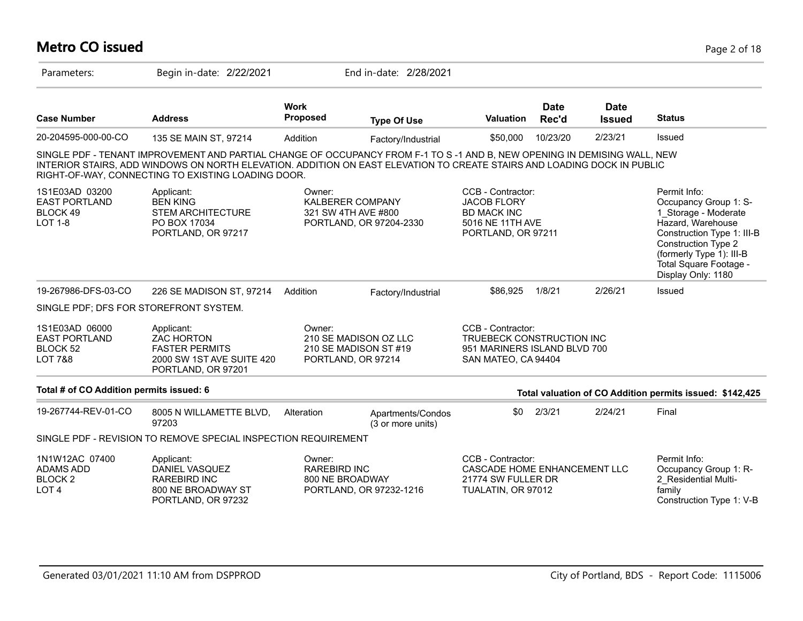# **Metro CO issued** Page 2 of 18

| Parameters:                                                              | Begin in-date: 2/22/2021                                                                                                                                                                                                                                                                                  |                                                          | End in-date: 2/28/2021                         |                                                                                                         |                      |                              |                                                                                                                                                                                                                     |
|--------------------------------------------------------------------------|-----------------------------------------------------------------------------------------------------------------------------------------------------------------------------------------------------------------------------------------------------------------------------------------------------------|----------------------------------------------------------|------------------------------------------------|---------------------------------------------------------------------------------------------------------|----------------------|------------------------------|---------------------------------------------------------------------------------------------------------------------------------------------------------------------------------------------------------------------|
| <b>Case Number</b>                                                       | <b>Address</b>                                                                                                                                                                                                                                                                                            | <b>Work</b><br><b>Proposed</b>                           | <b>Type Of Use</b>                             | <b>Valuation</b>                                                                                        | <b>Date</b><br>Rec'd | <b>Date</b><br><b>Issued</b> | <b>Status</b>                                                                                                                                                                                                       |
| 20-204595-000-00-CO                                                      | 135 SE MAIN ST, 97214                                                                                                                                                                                                                                                                                     | Addition                                                 | Factory/Industrial                             | \$50,000                                                                                                | 10/23/20             | 2/23/21                      | Issued                                                                                                                                                                                                              |
|                                                                          | SINGLE PDF - TENANT IMPROVEMENT AND PARTIAL CHANGE OF OCCUPANCY FROM F-1 TO S-1 AND B, NEW OPENING IN DEMISING WALL, NEW<br>INTERIOR STAIRS, ADD WINDOWS ON NORTH ELEVATION. ADDITION ON EAST ELEVATION TO CREATE STAIRS AND LOADING DOCK IN PUBLIC<br>RIGHT-OF-WAY, CONNECTING TO EXISTING LOADING DOOR. |                                                          |                                                |                                                                                                         |                      |                              |                                                                                                                                                                                                                     |
| 1S1E03AD 03200<br><b>EAST PORTLAND</b><br>BLOCK 49<br>LOT 1-8            | Applicant:<br><b>BEN KING</b><br><b>STEM ARCHITECTURE</b><br>PO BOX 17034<br>PORTLAND, OR 97217                                                                                                                                                                                                           | Owner:<br><b>KALBERER COMPANY</b><br>321 SW 4TH AVE #800 | PORTLAND, OR 97204-2330                        | CCB - Contractor:<br><b>JACOB FLORY</b><br><b>BD MACK INC</b><br>5016 NE 11TH AVE<br>PORTLAND, OR 97211 |                      |                              | Permit Info:<br>Occupancy Group 1: S-<br>1 Storage - Moderate<br>Hazard, Warehouse<br>Construction Type 1: III-B<br>Construction Type 2<br>(formerly Type 1): III-B<br>Total Square Footage -<br>Display Only: 1180 |
| 19-267986-DFS-03-CO                                                      | 226 SE MADISON ST, 97214                                                                                                                                                                                                                                                                                  | Addition                                                 | Factory/Industrial                             | \$86,925                                                                                                | 1/8/21               | 2/26/21                      | Issued                                                                                                                                                                                                              |
| SINGLE PDF; DFS FOR STOREFRONT SYSTEM.                                   |                                                                                                                                                                                                                                                                                                           |                                                          |                                                |                                                                                                         |                      |                              |                                                                                                                                                                                                                     |
| 1S1E03AD 06000<br><b>EAST PORTLAND</b><br>BLOCK 52<br><b>LOT 7&amp;8</b> | Applicant:<br><b>ZAC HORTON</b><br><b>FASTER PERMITS</b><br>2000 SW 1ST AVE SUITE 420<br>PORTLAND, OR 97201                                                                                                                                                                                               | Owner:<br>PORTLAND, OR 97214                             | 210 SE MADISON OZ LLC<br>210 SE MADISON ST #19 | CCB - Contractor:<br>TRUEBECK CONSTRUCTION INC<br>951 MARINERS ISLAND BLVD 700<br>SAN MATEO, CA 94404   |                      |                              |                                                                                                                                                                                                                     |
| Total # of CO Addition permits issued: 6                                 |                                                                                                                                                                                                                                                                                                           |                                                          |                                                |                                                                                                         |                      |                              | Total valuation of CO Addition permits issued: \$142,425                                                                                                                                                            |
| 19-267744-REV-01-CO                                                      | 8005 N WILLAMETTE BLVD,<br>97203                                                                                                                                                                                                                                                                          | Alteration                                               | Apartments/Condos<br>(3 or more units)         | \$0                                                                                                     | 2/3/21               | 2/24/21                      | Final                                                                                                                                                                                                               |
|                                                                          | SINGLE PDF - REVISION TO REMOVE SPECIAL INSPECTION REQUIREMENT                                                                                                                                                                                                                                            |                                                          |                                                |                                                                                                         |                      |                              |                                                                                                                                                                                                                     |
| 1N1W12AC 07400<br>ADAMS ADD<br><b>BLOCK2</b><br>LOT <sub>4</sub>         | Applicant:<br>DANIEL VASQUEZ<br><b>RAREBIRD INC</b><br>800 NE BROADWAY ST<br>PORTLAND, OR 97232                                                                                                                                                                                                           | Owner:<br><b>RAREBIRD INC</b><br>800 NE BROADWAY         | PORTLAND, OR 97232-1216                        | CCB - Contractor:<br>CASCADE HOME ENHANCEMENT LLC<br>21774 SW FULLER DR<br>TUALATIN, OR 97012           |                      |                              | Permit Info:<br>Occupancy Group 1: R-<br>2_Residential Multi-<br>family<br>Construction Type 1: V-B                                                                                                                 |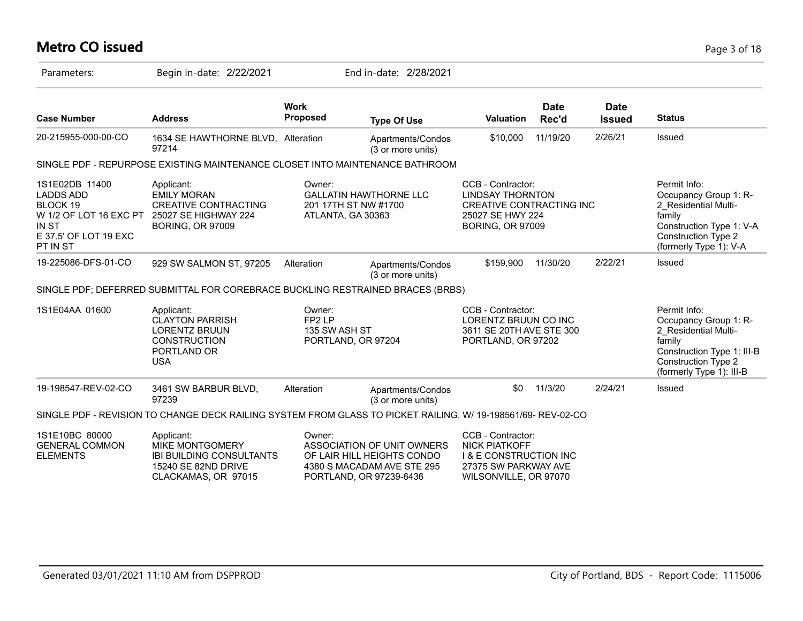#### **Metro CO issued** Page 3 of 18

| Parameters:                                                                                                            | Begin in-date: 2/22/2021                                                                                           |                                                                     | End in-date: 2/28/2021                                                                 |                                                                                                                                |                      |                              |                                                                                                                                                                 |
|------------------------------------------------------------------------------------------------------------------------|--------------------------------------------------------------------------------------------------------------------|---------------------------------------------------------------------|----------------------------------------------------------------------------------------|--------------------------------------------------------------------------------------------------------------------------------|----------------------|------------------------------|-----------------------------------------------------------------------------------------------------------------------------------------------------------------|
| <b>Case Number</b>                                                                                                     | <b>Address</b>                                                                                                     | <b>Work</b><br><b>Proposed</b>                                      | <b>Type Of Use</b>                                                                     | <b>Valuation</b>                                                                                                               | <b>Date</b><br>Rec'd | <b>Date</b><br><b>Issued</b> | <b>Status</b>                                                                                                                                                   |
| 20-215955-000-00-CO                                                                                                    | 1634 SE HAWTHORNE BLVD, Alteration<br>97214                                                                        |                                                                     | Apartments/Condos<br>(3 or more units)                                                 | \$10,000                                                                                                                       | 11/19/20             | 2/26/21                      | Issued                                                                                                                                                          |
|                                                                                                                        | SINGLE PDF - REPURPOSE EXISTING MAINTENANCE CLOSET INTO MAINTENANCE BATHROOM                                       |                                                                     |                                                                                        |                                                                                                                                |                      |                              |                                                                                                                                                                 |
| 1S1E02DB 11400<br><b>LADDS ADD</b><br>BLOCK 19<br>W 1/2 OF LOT 16 EXC PT<br>IN ST<br>E 37.5' OF LOT 19 EXC<br>PT IN ST | Applicant:<br><b>EMILY MORAN</b><br><b>CREATIVE CONTRACTING</b><br>25027 SE HIGHWAY 224<br><b>BORING, OR 97009</b> | Owner:<br>201 17TH ST NW #1700<br>ATLANTA, GA 30363                 | <b>GALLATIN HAWTHORNE LLC</b>                                                          | CCB - Contractor:<br><b>LINDSAY THORNTON</b><br><b>CREATIVE CONTRACTING INC</b><br>25027 SE HWY 224<br><b>BORING, OR 97009</b> |                      |                              | Permit Info:<br>Occupancy Group 1: R-<br>2 Residential Multi-<br>family<br>Construction Type 1: V-A<br><b>Construction Type 2</b><br>(formerly Type 1): V-A     |
| 19-225086-DFS-01-CO                                                                                                    | 929 SW SALMON ST, 97205                                                                                            | Alteration                                                          | Apartments/Condos<br>(3 or more units)                                                 | \$159,900                                                                                                                      | 11/30/20             | 2/22/21                      | Issued                                                                                                                                                          |
|                                                                                                                        | SINGLE PDF; DEFERRED SUBMITTAL FOR COREBRACE BUCKLING RESTRAINED BRACES (BRBS)                                     |                                                                     |                                                                                        |                                                                                                                                |                      |                              |                                                                                                                                                                 |
| 1S1E04AA 01600                                                                                                         | Applicant:<br><b>CLAYTON PARRISH</b><br><b>LORENTZ BRUUN</b><br><b>CONSTRUCTION</b><br>PORTLAND OR<br><b>USA</b>   | Owner:<br>FP <sub>2</sub> LP<br>135 SW ASH ST<br>PORTLAND, OR 97204 |                                                                                        | CCB - Contractor:<br>LORENTZ BRUUN CO INC<br>3611 SE 20TH AVE STE 300<br>PORTLAND, OR 97202                                    |                      |                              | Permit Info:<br>Occupancy Group 1: R-<br>2 Residential Multi-<br>family<br>Construction Type 1: III-B<br><b>Construction Type 2</b><br>(formerly Type 1): III-B |
| 19-198547-REV-02-CO                                                                                                    | 3461 SW BARBUR BLVD,<br>97239                                                                                      | Alteration                                                          | Apartments/Condos<br>(3 or more units)                                                 | \$0                                                                                                                            | 11/3/20              | 2/24/21                      | Issued                                                                                                                                                          |
|                                                                                                                        | SINGLE PDF - REVISION TO CHANGE DECK RAILING SYSTEM FROM GLASS TO PICKET RAILING. W/ 19-198561/69-REV-02-CO        |                                                                     |                                                                                        |                                                                                                                                |                      |                              |                                                                                                                                                                 |
| 1S1E10BC 80000<br><b>GENERAL COMMON</b><br><b>ELEMENTS</b>                                                             | Applicant:<br><b>MIKE MONTGOMERY</b><br><b>IBI BUILDING CONSULTANTS</b><br>15240 SE 82ND DRIVE                     | Owner:                                                              | ASSOCIATION OF UNIT OWNERS<br>OF LAIR HILL HEIGHTS CONDO<br>4380 S MACADAM AVE STE 295 | CCB - Contractor:<br><b>NICK PIATKOFF</b><br><b>I &amp; E CONSTRUCTION INC</b><br>27375 SW PARKWAY AVE                         |                      |                              |                                                                                                                                                                 |

PORTLAND, OR 97239-6436

WILSONVILLE, OR 97070

CLACKAMAS, OR 97015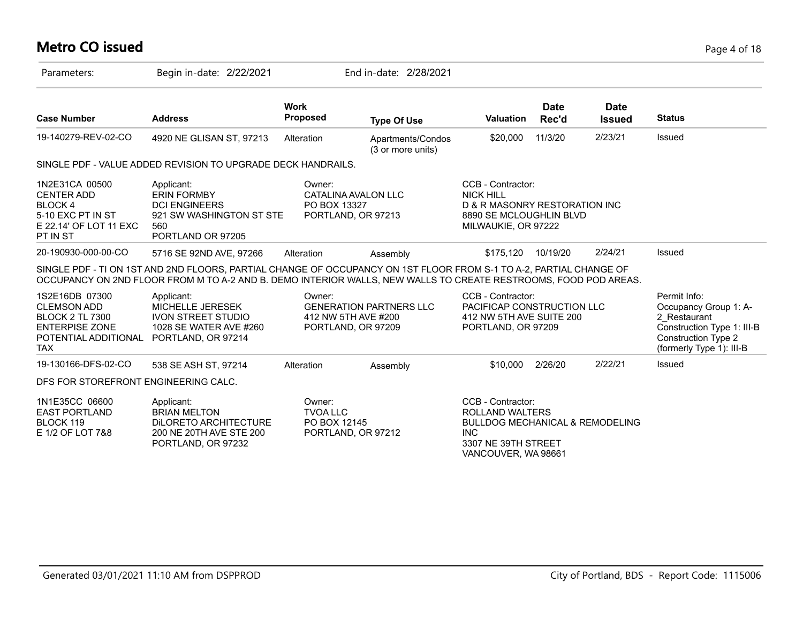# **Metro CO issued** Page 4 of 18

| Parameters:                                                                                                                   | Begin in-date: 2/22/2021                                                                                                                                                                                                              |                                                                     | End in-date: 2/28/2021                 |                                                                                                                                                |                      |                              |                                                                                                                                               |
|-------------------------------------------------------------------------------------------------------------------------------|---------------------------------------------------------------------------------------------------------------------------------------------------------------------------------------------------------------------------------------|---------------------------------------------------------------------|----------------------------------------|------------------------------------------------------------------------------------------------------------------------------------------------|----------------------|------------------------------|-----------------------------------------------------------------------------------------------------------------------------------------------|
| <b>Case Number</b>                                                                                                            | <b>Address</b>                                                                                                                                                                                                                        | <b>Work</b><br><b>Proposed</b>                                      | <b>Type Of Use</b>                     | <b>Valuation</b>                                                                                                                               | <b>Date</b><br>Rec'd | <b>Date</b><br><b>Issued</b> | <b>Status</b>                                                                                                                                 |
| 19-140279-REV-02-CO                                                                                                           | 4920 NE GLISAN ST, 97213                                                                                                                                                                                                              | Alteration                                                          | Apartments/Condos<br>(3 or more units) | \$20,000                                                                                                                                       | 11/3/20              | 2/23/21                      | Issued                                                                                                                                        |
|                                                                                                                               | SINGLE PDF - VALUE ADDED REVISION TO UPGRADE DECK HANDRAILS.                                                                                                                                                                          |                                                                     |                                        |                                                                                                                                                |                      |                              |                                                                                                                                               |
| 1N2E31CA 00500<br><b>CENTER ADD</b><br><b>BLOCK4</b><br>5-10 EXC PT IN ST<br>E 22.14' OF LOT 11 EXC<br>PT IN ST               | Applicant:<br><b>ERIN FORMBY</b><br><b>DCI ENGINEERS</b><br>921 SW WASHINGTON ST STE<br>560<br>PORTLAND OR 97205                                                                                                                      | Owner:<br>CATALINA AVALON LLC<br>PO BOX 13327<br>PORTLAND, OR 97213 |                                        | CCB - Contractor:<br><b>NICK HILL</b><br>D & R MASONRY RESTORATION INC<br>8890 SE MCLOUGHLIN BLVD<br>MILWAUKIE, OR 97222                       |                      |                              |                                                                                                                                               |
| 20-190930-000-00-CO                                                                                                           | 5716 SE 92ND AVE, 97266                                                                                                                                                                                                               | Alteration                                                          | Assembly                               | \$175,120                                                                                                                                      | 10/19/20             | 2/24/21                      | Issued                                                                                                                                        |
|                                                                                                                               | SINGLE PDF - TI ON 1ST AND 2ND FLOORS, PARTIAL CHANGE OF OCCUPANCY ON 1ST FLOOR FROM S-1 TO A-2, PARTIAL CHANGE OF<br>OCCUPANCY ON 2ND FLOOR FROM M TO A-2 AND B. DEMO INTERIOR WALLS, NEW WALLS TO CREATE RESTROOMS, FOOD POD AREAS. |                                                                     |                                        |                                                                                                                                                |                      |                              |                                                                                                                                               |
| 1S2E16DB 07300<br><b>CLEMSON ADD</b><br><b>BLOCK 2 TL 7300</b><br><b>ENTERPISE ZONE</b><br>POTENTIAL ADDITIONAL<br><b>TAX</b> | Applicant:<br><b>MICHELLE JERESEK</b><br><b>IVON STREET STUDIO</b><br>1028 SE WATER AVE #260<br>PORTLAND, OR 97214                                                                                                                    | Owner:<br>412 NW 5TH AVE #200<br>PORTLAND, OR 97209                 | <b>GENERATION PARTNERS LLC</b>         | CCB - Contractor:<br>PACIFICAP CONSTRUCTION LLC<br>412 NW 5TH AVE SUITE 200<br>PORTLAND, OR 97209                                              |                      |                              | Permit Info:<br>Occupancy Group 1: A-<br>2 Restaurant<br>Construction Type 1: III-B<br><b>Construction Type 2</b><br>(formerly Type 1): III-B |
| 19-130166-DFS-02-CO                                                                                                           | 538 SE ASH ST, 97214                                                                                                                                                                                                                  | Alteration                                                          | Assembly                               | \$10,000                                                                                                                                       | 2/26/20              | 2/22/21                      | Issued                                                                                                                                        |
| DFS FOR STOREFRONT ENGINEERING CALC.                                                                                          |                                                                                                                                                                                                                                       |                                                                     |                                        |                                                                                                                                                |                      |                              |                                                                                                                                               |
| 1N1E35CC 06600<br><b>EAST PORTLAND</b><br>BLOCK 119<br>E 1/2 OF LOT 7&8                                                       | Applicant:<br><b>BRIAN MELTON</b><br>DILORETO ARCHITECTURE<br>200 NE 20TH AVE STE 200<br>PORTLAND, OR 97232                                                                                                                           | Owner:<br><b>TVOA LLC</b><br>PO BOX 12145<br>PORTLAND, OR 97212     |                                        | CCB - Contractor:<br>ROLLAND WALTERS<br><b>BULLDOG MECHANICAL &amp; REMODELING</b><br><b>INC</b><br>3307 NE 39TH STREET<br>VANCOUVER, WA 98661 |                      |                              |                                                                                                                                               |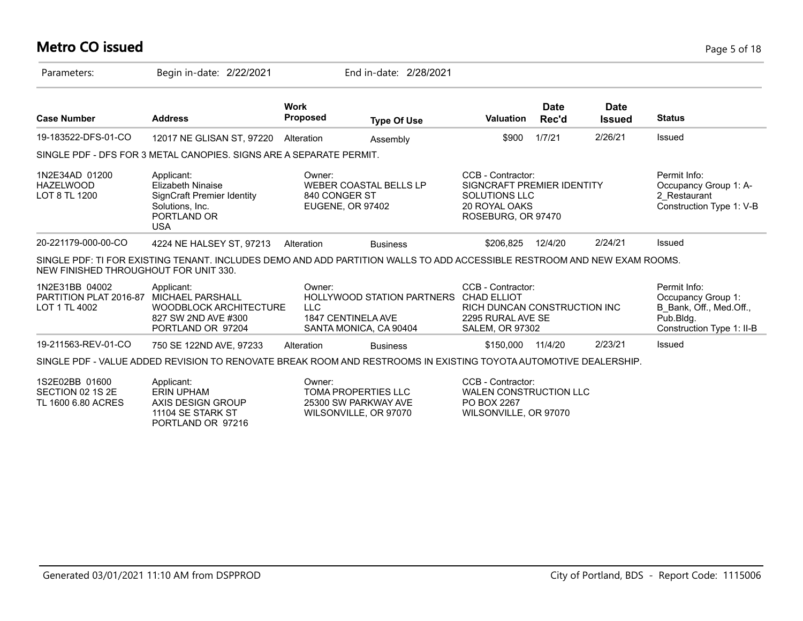#### **Metro CO issued** Page 5 of 18

| Parameters:                                               | Begin in-date: 2/22/2021                                                                                                 |                                | End in-date: 2/28/2021                                                                 |                                                                                                                |                      |                              |                                                                                                         |
|-----------------------------------------------------------|--------------------------------------------------------------------------------------------------------------------------|--------------------------------|----------------------------------------------------------------------------------------|----------------------------------------------------------------------------------------------------------------|----------------------|------------------------------|---------------------------------------------------------------------------------------------------------|
| <b>Case Number</b>                                        | <b>Address</b>                                                                                                           | <b>Work</b><br><b>Proposed</b> | <b>Type Of Use</b>                                                                     | <b>Valuation</b>                                                                                               | <b>Date</b><br>Rec'd | <b>Date</b><br><b>Issued</b> | <b>Status</b>                                                                                           |
| 19-183522-DFS-01-CO                                       | 12017 NE GLISAN ST, 97220                                                                                                | Alteration                     | Assembly                                                                               | \$900                                                                                                          | 1/7/21               | 2/26/21                      | Issued                                                                                                  |
|                                                           | SINGLE PDF - DFS FOR 3 METAL CANOPIES. SIGNS ARE A SEPARATE PERMIT.                                                      |                                |                                                                                        |                                                                                                                |                      |                              |                                                                                                         |
| 1N2E34AD 01200<br><b>HAZELWOOD</b><br>LOT 8 TL 1200       | Applicant:<br><b>Elizabeth Ninaise</b><br>SignCraft Premier Identity<br>Solutions, Inc.<br>PORTLAND OR<br><b>USA</b>     | Owner:<br>840 CONGER ST        | <b>WEBER COASTAL BELLS LP</b><br><b>EUGENE, OR 97402</b>                               | CCB - Contractor:<br>SIGNCRAFT PREMIER IDENTITY<br>SOLUTIONS LLC<br><b>20 ROYAL OAKS</b><br>ROSEBURG, OR 97470 |                      |                              | Permit Info:<br>Occupancy Group 1: A-<br>2 Restaurant<br>Construction Type 1: V-B                       |
| 20-221179-000-00-CO                                       | 4224 NE HALSEY ST, 97213                                                                                                 | Alteration                     | <b>Business</b>                                                                        | \$206,825                                                                                                      | 12/4/20              | 2/24/21                      | Issued                                                                                                  |
| NEW FINISHED THROUGHOUT FOR UNIT 330.                     | SINGLE PDF: TI FOR EXISTING TENANT. INCLUDES DEMO AND ADD PARTITION WALLS TO ADD ACCESSIBLE RESTROOM AND NEW EXAM ROOMS. |                                |                                                                                        |                                                                                                                |                      |                              |                                                                                                         |
| 1N2E31BB 04002<br>PARTITION PLAT 2016-87<br>LOT 1 TL 4002 | Applicant:<br>MICHAEL PARSHALL<br><b>WOODBLOCK ARCHITECTURE</b><br>827 SW 2ND AVE #300<br>PORTLAND OR 97204              | Owner:<br><b>LLC</b>           | HOLLYWOOD STATION PARTNERS CHAD ELLIOT<br>1847 CENTINELA AVE<br>SANTA MONICA, CA 90404 | CCB - Contractor:<br>RICH DUNCAN CONSTRUCTION INC<br>2295 RURAL AVE SE<br><b>SALEM, OR 97302</b>               |                      |                              | Permit Info:<br>Occupancy Group 1:<br>B Bank, Off., Med.Off.,<br>Pub.Bldg.<br>Construction Type 1: II-B |
| 19-211563-REV-01-CO                                       | 750 SE 122ND AVE, 97233                                                                                                  | Alteration                     | <b>Business</b>                                                                        | \$150,000                                                                                                      | 11/4/20              | 2/23/21                      | Issued                                                                                                  |
|                                                           | SINGLE PDF - VALUE ADDED REVISION TO RENOVATE BREAK ROOM AND RESTROOMS IN EXISTING TOYOTA AUTOMOTIVE DEALERSHIP.         |                                |                                                                                        |                                                                                                                |                      |                              |                                                                                                         |
| 1S2E02BB 01600<br>SECTION 02 1S 2E<br>TL 1600 6.80 ACRES  | Applicant:<br><b>ERIN UPHAM</b><br>AXIS DESIGN GROUP<br>11104 SE STARK ST                                                | Owner:                         | <b>TOMA PROPERTIES LLC</b><br>25300 SW PARKWAY AVE<br>WILSONVILLE, OR 97070            | CCB - Contractor:<br>WALEN CONSTRUCTION LLC<br>PO BOX 2267<br>WILSONVILLE, OR 97070                            |                      |                              |                                                                                                         |

PORTLAND OR 97216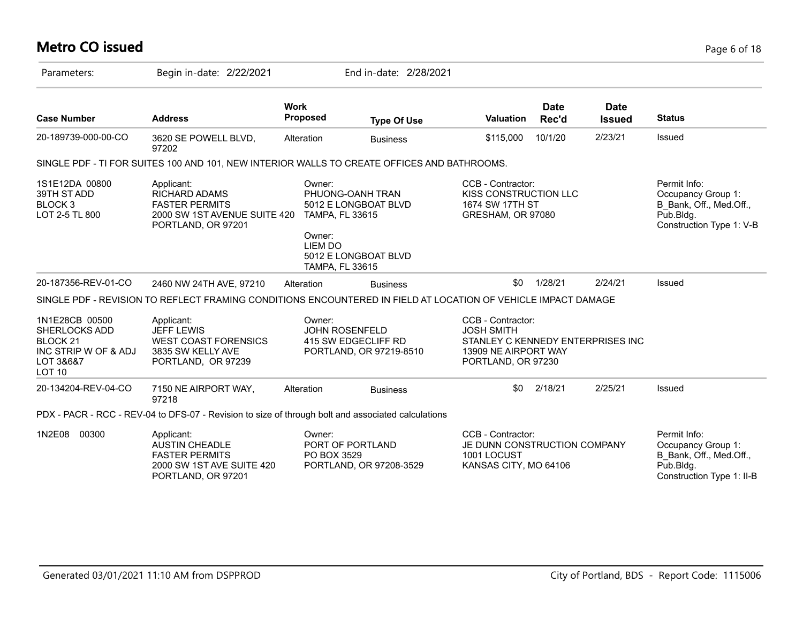# **Metro CO issued** Page 6 of 18

| Parameters:                                                                                                             | Begin in-date: 2/22/2021                                                                                        |                                 | End in-date: 2/28/2021                         |                                                                                                                           |                      |                              |                                                                                                         |
|-------------------------------------------------------------------------------------------------------------------------|-----------------------------------------------------------------------------------------------------------------|---------------------------------|------------------------------------------------|---------------------------------------------------------------------------------------------------------------------------|----------------------|------------------------------|---------------------------------------------------------------------------------------------------------|
| <b>Case Number</b>                                                                                                      | <b>Address</b>                                                                                                  | <b>Work</b><br><b>Proposed</b>  | <b>Type Of Use</b>                             | <b>Valuation</b>                                                                                                          | <b>Date</b><br>Rec'd | <b>Date</b><br><b>Issued</b> | <b>Status</b>                                                                                           |
| 20-189739-000-00-CO                                                                                                     | 3620 SE POWELL BLVD,<br>97202                                                                                   | Alteration                      | <b>Business</b>                                | \$115,000                                                                                                                 | 10/1/20              | 2/23/21                      | Issued                                                                                                  |
|                                                                                                                         | SINGLE PDF - TI FOR SUITES 100 AND 101, NEW INTERIOR WALLS TO CREATE OFFICES AND BATHROOMS.                     |                                 |                                                |                                                                                                                           |                      |                              |                                                                                                         |
| 1S1E12DA 00800<br>39TH ST ADD<br>BLOCK <sub>3</sub><br>LOT 2-5 TL 800                                                   | Permit Info:<br>Occupancy Group 1:<br>B Bank, Off., Med.Off.,<br>Pub.Bldg.<br>Construction Type 1: V-B          |                                 |                                                |                                                                                                                           |                      |                              |                                                                                                         |
| 20-187356-REV-01-CO                                                                                                     | 2460 NW 24TH AVE, 97210                                                                                         | Alteration                      | <b>Business</b>                                | \$0                                                                                                                       | 1/28/21              | 2/24/21                      | Issued                                                                                                  |
|                                                                                                                         | SINGLE PDF - REVISION TO REFLECT FRAMING CONDITIONS ENCOUNTERED IN FIELD AT LOCATION OF VEHICLE IMPACT DAMAGE   |                                 |                                                |                                                                                                                           |                      |                              |                                                                                                         |
| 1N1E28CB 00500<br><b>SHERLOCKS ADD</b><br>BLOCK <sub>21</sub><br>INC STRIP W OF & ADJ<br>LOT 3&6&7<br>LOT <sub>10</sub> | Applicant:<br><b>JEFF LEWIS</b><br><b>WEST COAST FORENSICS</b><br>3835 SW KELLY AVE<br>PORTLAND, OR 97239       | Owner:<br><b>JOHN ROSENFELD</b> | 415 SW EDGECLIFF RD<br>PORTLAND, OR 97219-8510 | CCB - Contractor:<br><b>JOSH SMITH</b><br>STANLEY C KENNEDY ENTERPRISES INC<br>13909 NE AIRPORT WAY<br>PORTLAND, OR 97230 |                      |                              |                                                                                                         |
| 20-134204-REV-04-CO                                                                                                     | 7150 NE AIRPORT WAY,<br>97218                                                                                   | Alteration                      | <b>Business</b>                                | \$0                                                                                                                       | 2/18/21              | 2/25/21                      | Issued                                                                                                  |
|                                                                                                                         | PDX - PACR - RCC - REV-04 to DFS-07 - Revision to size of through bolt and associated calculations              |                                 |                                                |                                                                                                                           |                      |                              |                                                                                                         |
| 1N2E08<br>00300                                                                                                         | Applicant:<br><b>AUSTIN CHEADLE</b><br><b>FASTER PERMITS</b><br>2000 SW 1ST AVE SUITE 420<br>PORTLAND, OR 97201 | Owner:<br>PO BOX 3529           | PORT OF PORTLAND<br>PORTLAND, OR 97208-3529    | CCB - Contractor:<br>JE DUNN CONSTRUCTION COMPANY<br>1001 LOCUST<br>KANSAS CITY, MO 64106                                 |                      |                              | Permit Info:<br>Occupancy Group 1:<br>B_Bank, Off., Med.Off.,<br>Pub.Bldg.<br>Construction Type 1: II-B |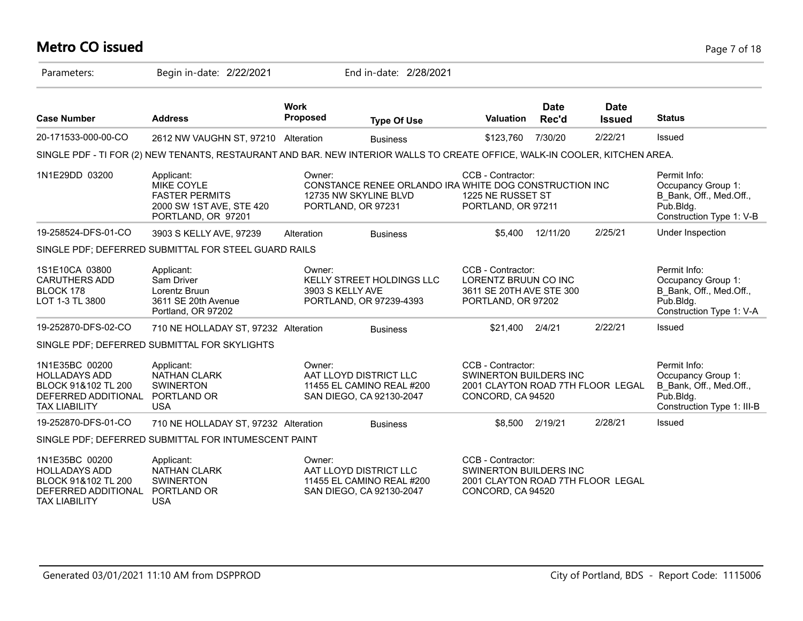## **Metro CO issued** Page 7 of 18

| Parameters:                                                                                                  | Begin in-date: 2/22/2021                                                                                                    |                                | End in-date: 2/28/2021                                                                                |                                                                                                              |                      |                              |                                                                                                          |
|--------------------------------------------------------------------------------------------------------------|-----------------------------------------------------------------------------------------------------------------------------|--------------------------------|-------------------------------------------------------------------------------------------------------|--------------------------------------------------------------------------------------------------------------|----------------------|------------------------------|----------------------------------------------------------------------------------------------------------|
| <b>Case Number</b>                                                                                           | <b>Address</b>                                                                                                              | <b>Work</b><br><b>Proposed</b> | <b>Type Of Use</b>                                                                                    | <b>Valuation</b>                                                                                             | <b>Date</b><br>Rec'd | <b>Date</b><br><b>Issued</b> | <b>Status</b>                                                                                            |
| 20-171533-000-00-CO                                                                                          | 2612 NW VAUGHN ST, 97210 Alteration                                                                                         |                                | <b>Business</b>                                                                                       | \$123,760                                                                                                    | 7/30/20              | 2/22/21                      | <b>Issued</b>                                                                                            |
|                                                                                                              | SINGLE PDF - TI FOR (2) NEW TENANTS, RESTAURANT AND BAR. NEW INTERIOR WALLS TO CREATE OFFICE, WALK-IN COOLER, KITCHEN AREA. |                                |                                                                                                       |                                                                                                              |                      |                              |                                                                                                          |
| 1N1E29DD 03200                                                                                               | Applicant:<br><b>MIKE COYLE</b><br><b>FASTER PERMITS</b><br>2000 SW 1ST AVE, STE 420<br>PORTLAND, OR 97201                  | Owner:                         | CONSTANCE RENEE ORLANDO IRA WHITE DOG CONSTRUCTION INC<br>12735 NW SKYLINE BLVD<br>PORTLAND, OR 97231 | CCB - Contractor:<br>1225 NE RUSSET ST<br>PORTLAND, OR 97211                                                 |                      |                              | Permit Info:<br>Occupancy Group 1:<br>B_Bank, Off., Med.Off.,<br>Pub.Bldg.<br>Construction Type 1: V-B   |
| 19-258524-DFS-01-CO                                                                                          | 3903 S KELLY AVE, 97239                                                                                                     | Alteration                     | <b>Business</b>                                                                                       | \$5.400                                                                                                      | 12/11/20             | 2/25/21                      | Under Inspection                                                                                         |
|                                                                                                              | SINGLE PDF; DEFERRED SUBMITTAL FOR STEEL GUARD RAILS                                                                        |                                |                                                                                                       |                                                                                                              |                      |                              |                                                                                                          |
| 1S1E10CA 03800<br><b>CARUTHERS ADD</b><br>BLOCK 178<br>LOT 1-3 TL 3800                                       | Applicant:<br>Sam Driver<br>Lorentz Bruun<br>3611 SE 20th Avenue<br>Portland, OR 97202                                      | Owner:<br>3903 S KELLY AVE     | KELLY STREET HOLDINGS LLC<br>PORTLAND, OR 97239-4393                                                  | CCB - Contractor:<br>LORENTZ BRUUN CO INC<br>3611 SE 20TH AVE STE 300<br>PORTLAND, OR 97202                  |                      |                              | Permit Info:<br>Occupancy Group 1:<br>B Bank, Off., Med.Off.,<br>Pub.Bldg.<br>Construction Type 1: V-A   |
| 19-252870-DFS-02-CO                                                                                          | 710 NE HOLLADAY ST, 97232 Alteration                                                                                        |                                | <b>Business</b>                                                                                       | \$21,400                                                                                                     | 2/4/21               | 2/22/21                      | <b>Issued</b>                                                                                            |
|                                                                                                              | SINGLE PDF; DEFERRED SUBMITTAL FOR SKYLIGHTS                                                                                |                                |                                                                                                       |                                                                                                              |                      |                              |                                                                                                          |
| 1N1E35BC 00200<br><b>HOLLADAYS ADD</b><br>BLOCK 91&102 TL 200<br>DEFERRED ADDITIONAL<br><b>TAX LIABILITY</b> | Applicant:<br>NATHAN CLARK<br><b>SWINERTON</b><br>PORTLAND OR<br><b>USA</b>                                                 | Owner:                         | AAT LLOYD DISTRICT LLC<br>11455 EL CAMINO REAL #200<br>SAN DIEGO, CA 92130-2047                       | CCB - Contractor:<br>SWINERTON BUILDERS INC<br>2001 CLAYTON ROAD 7TH FLOOR LEGAL<br>CONCORD, CA 94520        |                      |                              | Permit Info:<br>Occupancy Group 1:<br>B Bank, Off., Med.Off.,<br>Pub.Bldg.<br>Construction Type 1: III-B |
| 19-252870-DFS-01-CO                                                                                          | 710 NE HOLLADAY ST, 97232 Alteration                                                                                        |                                | <b>Business</b>                                                                                       | \$8,500                                                                                                      | 2/19/21              | 2/28/21                      | Issued                                                                                                   |
|                                                                                                              | SINGLE PDF; DEFERRED SUBMITTAL FOR INTUMESCENT PAINT                                                                        |                                |                                                                                                       |                                                                                                              |                      |                              |                                                                                                          |
| 1N1E35BC 00200<br><b>HOLLADAYS ADD</b><br>BLOCK 91&102 TL 200<br>DEFERRED ADDITIONAL<br><b>TAX LIABILITY</b> | Applicant:<br><b>NATHAN CLARK</b><br><b>SWINERTON</b><br>PORTLAND OR<br><b>USA</b>                                          | Owner:                         | AAT LLOYD DISTRICT LLC<br>11455 EL CAMINO REAL #200<br>SAN DIEGO, CA 92130-2047                       | CCB - Contractor:<br><b>SWINERTON BUILDERS INC</b><br>2001 CLAYTON ROAD 7TH FLOOR LEGAL<br>CONCORD, CA 94520 |                      |                              |                                                                                                          |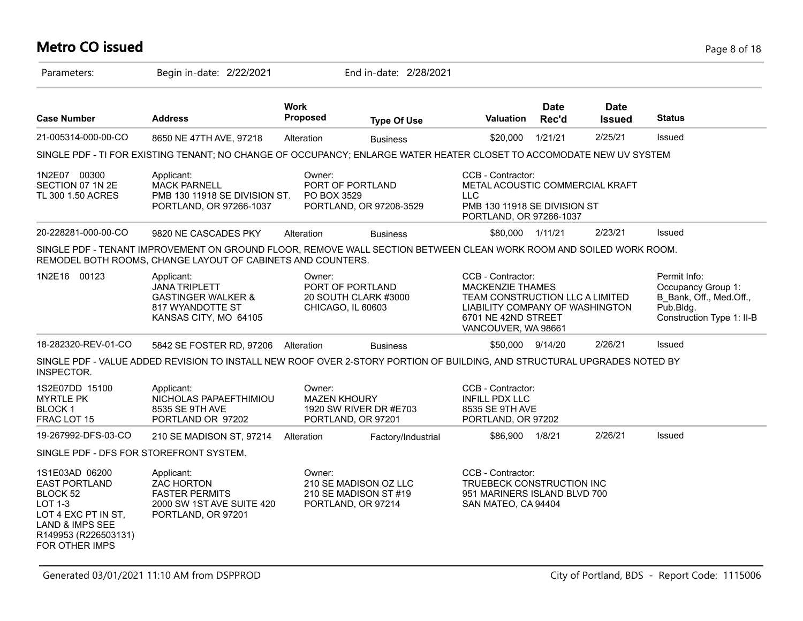## **Metro CO issued** Page 8 of 18

| Parameters:                                                                                                                                              | Begin in-date: 2/22/2021                                                                                                                                                          |                               | End in-date: 2/28/2021                                               |                                                                                                                                                                  |                      |                              |                                                                                                         |
|----------------------------------------------------------------------------------------------------------------------------------------------------------|-----------------------------------------------------------------------------------------------------------------------------------------------------------------------------------|-------------------------------|----------------------------------------------------------------------|------------------------------------------------------------------------------------------------------------------------------------------------------------------|----------------------|------------------------------|---------------------------------------------------------------------------------------------------------|
| <b>Case Number</b>                                                                                                                                       | <b>Address</b>                                                                                                                                                                    | <b>Work</b><br>Proposed       | <b>Type Of Use</b>                                                   | Valuation                                                                                                                                                        | <b>Date</b><br>Rec'd | <b>Date</b><br><b>Issued</b> | <b>Status</b>                                                                                           |
| 21-005314-000-00-CO                                                                                                                                      | 8650 NE 47TH AVE, 97218                                                                                                                                                           | Alteration                    | <b>Business</b>                                                      | \$20,000                                                                                                                                                         | 1/21/21              | 2/25/21                      | Issued                                                                                                  |
|                                                                                                                                                          | SINGLE PDF - TI FOR EXISTING TENANT; NO CHANGE OF OCCUPANCY; ENLARGE WATER HEATER CLOSET TO ACCOMODATE NEW UV SYSTEM                                                              |                               |                                                                      |                                                                                                                                                                  |                      |                              |                                                                                                         |
| 1N2E07 00300<br>SECTION 07 1N 2E<br>TL 300 1.50 ACRES                                                                                                    | Applicant:<br><b>MACK PARNELL</b><br>PMB 130 11918 SE DIVISION ST.<br>PORTLAND, OR 97266-1037                                                                                     | Owner:<br>PO BOX 3529         | PORT OF PORTLAND<br>PORTLAND, OR 97208-3529                          | CCB - Contractor:<br>METAL ACOUSTIC COMMERCIAL KRAFT<br><b>LLC</b><br>PMB 130 11918 SE DIVISION ST<br>PORTLAND, OR 97266-1037                                    |                      |                              |                                                                                                         |
| 20-228281-000-00-CO                                                                                                                                      | 9820 NE CASCADES PKY                                                                                                                                                              | Alteration                    | <b>Business</b>                                                      | \$80,000                                                                                                                                                         | 1/11/21              | 2/23/21                      | Issued                                                                                                  |
|                                                                                                                                                          | SINGLE PDF - TENANT IMPROVEMENT ON GROUND FLOOR, REMOVE WALL SECTION BETWEEN CLEAN WORK ROOM AND SOILED WORK ROOM.<br>REMODEL BOTH ROOMS, CHANGE LAYOUT OF CABINETS AND COUNTERS. |                               |                                                                      |                                                                                                                                                                  |                      |                              |                                                                                                         |
| 1N2E16 00123                                                                                                                                             | Applicant:<br><b>JANA TRIPLETT</b><br><b>GASTINGER WALKER &amp;</b><br>817 WYANDOTTE ST<br>KANSAS CITY, MO 64105                                                                  | Owner:<br>CHICAGO, IL 60603   | PORT OF PORTLAND<br>20 SOUTH CLARK #3000                             | CCB - Contractor:<br><b>MACKENZIE THAMES</b><br>TEAM CONSTRUCTION LLC A LIMITED<br>LIABILITY COMPANY OF WASHINGTON<br>6701 NE 42ND STREET<br>VANCOUVER, WA 98661 |                      |                              | Permit Info:<br>Occupancy Group 1:<br>B Bank, Off., Med.Off.,<br>Pub.Bldg.<br>Construction Type 1: II-B |
| 18-282320-REV-01-CO                                                                                                                                      | 5842 SE FOSTER RD, 97206 Alteration                                                                                                                                               |                               | <b>Business</b>                                                      | \$50,000 9/14/20                                                                                                                                                 |                      | 2/26/21                      | Issued                                                                                                  |
| INSPECTOR.                                                                                                                                               | SINGLE PDF - VALUE ADDED REVISION TO INSTALL NEW ROOF OVER 2-STORY PORTION OF BUILDING, AND STRUCTURAL UPGRADES NOTED BY                                                          |                               |                                                                      |                                                                                                                                                                  |                      |                              |                                                                                                         |
| 1S2E07DD 15100<br><b>MYRTLE PK</b><br><b>BLOCK1</b><br>FRAC LOT 15                                                                                       | Applicant:<br>NICHOLAS PAPAEFTHIMIOU<br>8535 SE 9TH AVE<br>PORTLAND OR 97202                                                                                                      | Owner:<br><b>MAZEN KHOURY</b> | 1920 SW RIVER DR #E703<br>PORTLAND, OR 97201                         | CCB - Contractor:<br><b>INFILL PDX LLC</b><br>8535 SE 9TH AVE<br>PORTLAND, OR 97202                                                                              |                      |                              |                                                                                                         |
| 19-267992-DFS-03-CO                                                                                                                                      | 210 SE MADISON ST, 97214                                                                                                                                                          | Alteration                    | Factory/Industrial                                                   | \$86,900                                                                                                                                                         | 1/8/21               | 2/26/21                      | Issued                                                                                                  |
| SINGLE PDF - DFS FOR STOREFRONT SYSTEM.                                                                                                                  |                                                                                                                                                                                   |                               |                                                                      |                                                                                                                                                                  |                      |                              |                                                                                                         |
| 1S1E03AD 06200<br><b>EAST PORTLAND</b><br>BLOCK 52<br><b>LOT 1-3</b><br>LOT 4 EXC PT IN ST,<br>LAND & IMPS SEE<br>R149953 (R226503131)<br>FOR OTHER IMPS | Applicant:<br>ZAC HORTON<br><b>FASTER PERMITS</b><br>2000 SW 1ST AVE SUITE 420<br>PORTLAND, OR 97201                                                                              | Owner:                        | 210 SE MADISON OZ LLC<br>210 SE MADISON ST #19<br>PORTLAND, OR 97214 | CCB - Contractor:<br>TRUEBECK CONSTRUCTION INC<br>951 MARINERS ISLAND BLVD 700<br>SAN MATEO, CA 94404                                                            |                      |                              |                                                                                                         |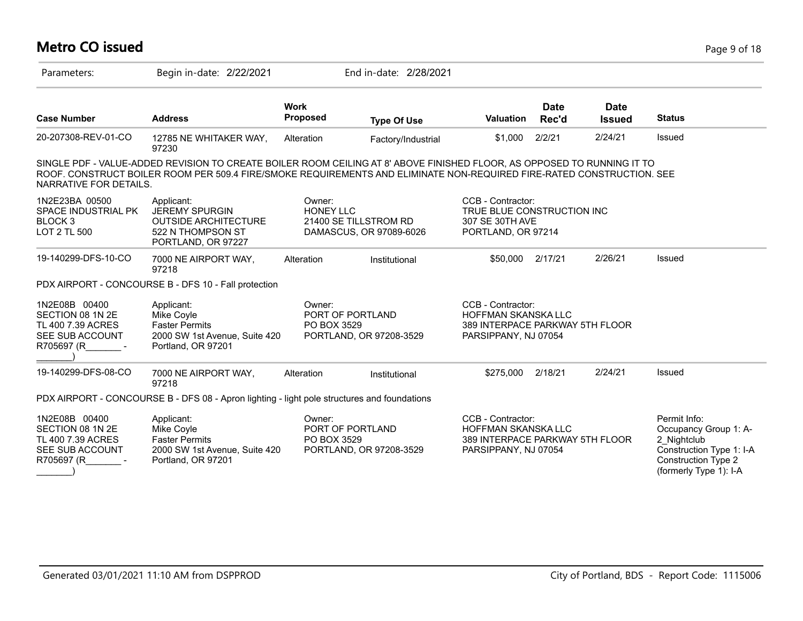#### **Metro CO issued** Page 9 of 18 Parameters: Begin in-date: 2/22/2021 End in-date: 2/28/2021 **Work Case Number Address Proposed Type Of Use Valuation Status Date Rec'd Date Issued** 20-207308-REV-01-CO 12785 NE WHITAKER WAY, 97230 Alteration Factory/Industrial \$1,000 2/2/21 2/24/21 Issued SINGLE PDF - VALUE-ADDED REVISION TO CREATE BOILER ROOM CEILING AT 8' ABOVE FINISHED FLOOR, AS OPPOSED TO RUNNING IT TO ROOF. CONSTRUCT BOILER ROOM PER 509.4 FIRE/SMOKE REQUIREMENTS AND ELIMINATE NON-REQUIRED FIRE-RATED CONSTRUCTION. SEE NARRATIVE FOR DETAILS. 1N2E23BA 00500 SPACE INDUSTRIAL PK BLOCK 3 LOT 2 TL 500 CCB - Contractor: TRUE BLUE CONSTRUCTION INC 307 SE 30TH AVE PORTLAND, OR 97214 Owner: HONEY I I C 21400 SE TILLSTROM RD DAMASCUS, OR 97089-6026 Applicant: JEREMY SPURGIN OUTSIDE ARCHITECTURE 522 N THOMPSON ST PORTLAND, OR 97227 19-140299-DFS-10-CO 7000 NE AIRPORT WAY, 97218 Alteration Institutional \$50,000 2/17/21 2/26/21 Issued PDX AIRPORT - CONCOURSE B - DFS 10 - Fall protection 1N2E08B 00400 SECTION 08 1N 2E TL 400 7.39 ACRES SEE SUB ACCOUNT R705697 (R\_\_\_\_\_\_\_ -  $\qquad \qquad$ CCB - Contractor: HOFFMAN SKANSKA LLC 389 INTERPACE PARKWAY 5TH FLOOR PARSIPPANY, NJ 07054 Owner: PORT OF PORTLAND PO BOX 3529 PORTLAND, OR 97208-3529 Applicant: Mike Coyle Faster Permits 2000 SW 1st Avenue, Suite 420 Portland, OR 97201 19-140299-DFS-08-CO 7000 NE AIRPORT WAY, 97218 Alteration Institutional \$275,000 2/18/21 2/24/21 Issued PDX AIRPORT - CONCOURSE B - DFS 08 - Apron lighting - light pole structures and foundations 1N2E08B 00400 SECTION 08 1N 2E TL 400 7.39 ACRES SEE SUB ACCOUNT R705697 (R\_\_\_\_\_\_\_ -  $\qquad \qquad$ Permit Info: Occupancy Group 1: A-2 Nightclub Construction Type 1: I-A Construction Type 2 (formerly Type 1): I-A CCB - Contractor: HOFFMAN SKANSKA LLC 389 INTERPACE PARKWAY 5TH FLOOR PARSIPPANY, NJ 07054 Owner: PORT OF PORTLAND PO BOX 3529 PORTLAND, OR 97208-3529 Applicant: Mike Coyle Faster Permits 2000 SW 1st Avenue, Suite 420 Portland, OR 97201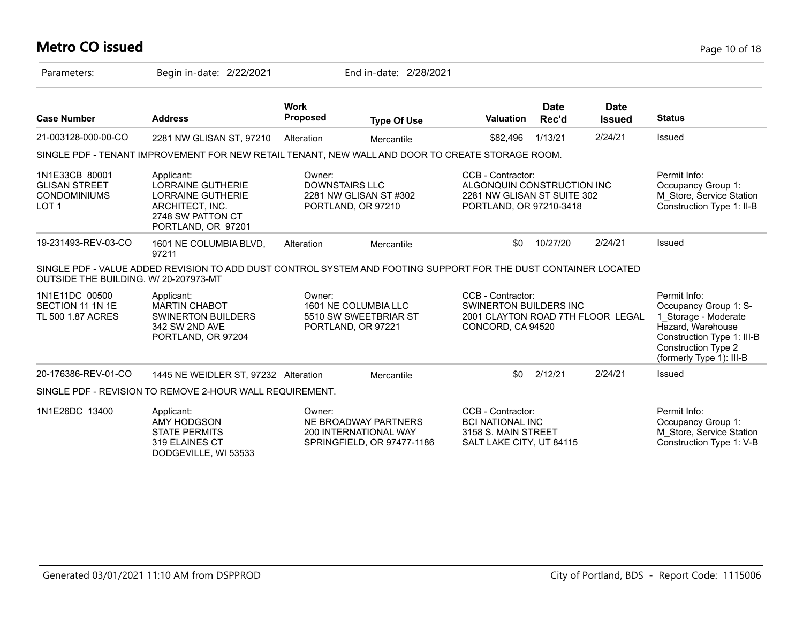## **Metro CO issued** Page 10 of 18

| Parameters:                                                                       | Begin in-date: 2/22/2021                                                                                                         |                                 | End in-date: 2/28/2021                                                      |                                                                                                           |                      |                              |                                                                                                                                                                            |
|-----------------------------------------------------------------------------------|----------------------------------------------------------------------------------------------------------------------------------|---------------------------------|-----------------------------------------------------------------------------|-----------------------------------------------------------------------------------------------------------|----------------------|------------------------------|----------------------------------------------------------------------------------------------------------------------------------------------------------------------------|
| <b>Case Number</b>                                                                | <b>Address</b>                                                                                                                   | <b>Work</b><br><b>Proposed</b>  | <b>Type Of Use</b>                                                          | Valuation                                                                                                 | <b>Date</b><br>Rec'd | <b>Date</b><br><b>Issued</b> | <b>Status</b>                                                                                                                                                              |
| 21-003128-000-00-CO                                                               | 2281 NW GLISAN ST, 97210                                                                                                         | Alteration                      | Mercantile                                                                  | \$82,496                                                                                                  | 1/13/21              | 2/24/21                      | Issued                                                                                                                                                                     |
|                                                                                   | SINGLE PDF - TENANT IMPROVEMENT FOR NEW RETAIL TENANT, NEW WALL AND DOOR TO CREATE STORAGE ROOM.                                 |                                 |                                                                             |                                                                                                           |                      |                              |                                                                                                                                                                            |
| 1N1E33CB 80001<br><b>GLISAN STREET</b><br><b>CONDOMINIUMS</b><br>LOT <sub>1</sub> | Applicant:<br><b>LORRAINE GUTHERIE</b><br><b>LORRAINE GUTHERIE</b><br>ARCHITECT, INC.<br>2748 SW PATTON CT<br>PORTLAND, OR 97201 | Owner:<br><b>DOWNSTAIRS LLC</b> | 2281 NW GLISAN ST #302<br>PORTLAND, OR 97210                                | CCB - Contractor:<br>ALGONQUIN CONSTRUCTION INC<br>2281 NW GLISAN ST SUITE 302<br>PORTLAND, OR 97210-3418 |                      |                              | Permit Info:<br>Occupancy Group 1:<br>M Store, Service Station<br>Construction Type 1: II-B                                                                                |
| 19-231493-REV-03-CO                                                               | 1601 NE COLUMBIA BLVD,<br>97211                                                                                                  | Alteration                      | Mercantile                                                                  | \$0                                                                                                       | 10/27/20             | 2/24/21                      | Issued                                                                                                                                                                     |
| OUTSIDE THE BUILDING. W/ 20-207973-MT                                             | SINGLE PDF - VALUE ADDED REVISION TO ADD DUST CONTROL SYSTEM AND FOOTING SUPPORT FOR THE DUST CONTAINER LOCATED                  |                                 |                                                                             |                                                                                                           |                      |                              |                                                                                                                                                                            |
| 1N1E11DC 00500<br>SECTION 11 1N 1E<br>TL 500 1.87 ACRES                           | Applicant:<br><b>MARTIN CHABOT</b><br><b>SWINERTON BUILDERS</b><br>342 SW 2ND AVE<br>PORTLAND, OR 97204                          | Owner:                          | 1601 NE COLUMBIA LLC<br>5510 SW SWEETBRIAR ST<br>PORTLAND, OR 97221         | CCB - Contractor:<br>SWINERTON BUILDERS INC<br>2001 CLAYTON ROAD 7TH FLOOR LEGAL<br>CONCORD, CA 94520     |                      |                              | Permit Info:<br>Occupancy Group 1: S-<br>1 Storage - Moderate<br>Hazard, Warehouse<br>Construction Type 1: III-B<br><b>Construction Type 2</b><br>(formerly Type 1): III-B |
| 20-176386-REV-01-CO                                                               | 1445 NE WEIDLER ST, 97232 Alteration                                                                                             |                                 | Mercantile                                                                  | \$0                                                                                                       | 2/12/21              | 2/24/21                      | Issued                                                                                                                                                                     |
|                                                                                   | SINGLE PDF - REVISION TO REMOVE 2-HOUR WALL REQUIREMENT.                                                                         |                                 |                                                                             |                                                                                                           |                      |                              |                                                                                                                                                                            |
| 1N1E26DC 13400                                                                    | Applicant:<br>AMY HODGSON<br><b>STATE PERMITS</b><br>319 ELAINES CT<br>DODGEVILLE, WI 53533                                      | Owner:                          | NE BROADWAY PARTNERS<br>200 INTERNATIONAL WAY<br>SPRINGFIELD, OR 97477-1186 | CCB - Contractor:<br><b>BCI NATIONAL INC</b><br>3158 S. MAIN STREET<br>SALT LAKE CITY, UT 84115           |                      |                              | Permit Info:<br>Occupancy Group 1:<br>M Store, Service Station<br>Construction Type 1: V-B                                                                                 |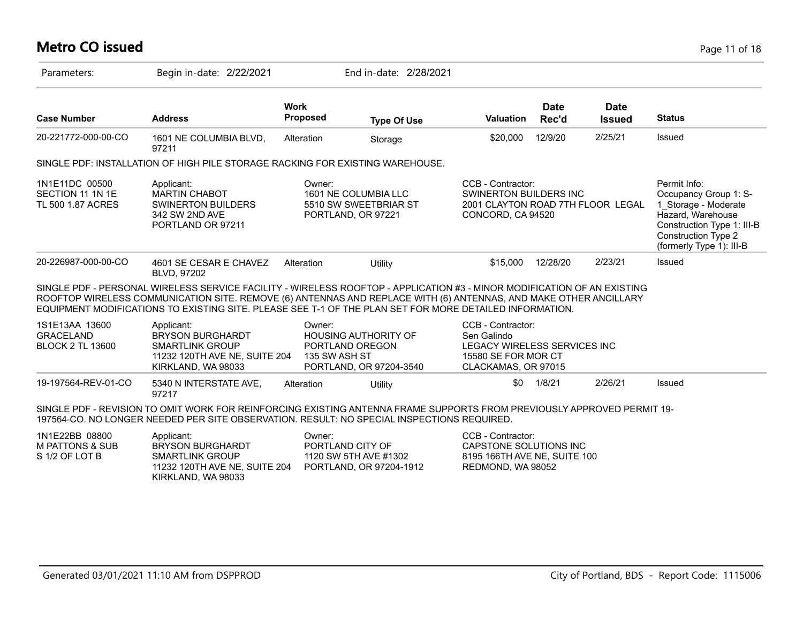## **Metro CO issued** Page 11 of 18

| Parameters:                                                    | Begin in-date: 2/22/2021                                                                                                                                                                                                                                                                                                                               |                                            | End in-date: 2/28/2021                                 |                                                                                                                |                      |                              |                                                                                                                                                                            |
|----------------------------------------------------------------|--------------------------------------------------------------------------------------------------------------------------------------------------------------------------------------------------------------------------------------------------------------------------------------------------------------------------------------------------------|--------------------------------------------|--------------------------------------------------------|----------------------------------------------------------------------------------------------------------------|----------------------|------------------------------|----------------------------------------------------------------------------------------------------------------------------------------------------------------------------|
| <b>Case Number</b>                                             | <b>Address</b>                                                                                                                                                                                                                                                                                                                                         | <b>Work</b><br><b>Proposed</b>             | <b>Type Of Use</b>                                     | <b>Valuation</b>                                                                                               | <b>Date</b><br>Rec'd | <b>Date</b><br><b>Issued</b> | <b>Status</b>                                                                                                                                                              |
| 20-221772-000-00-CO                                            | 1601 NE COLUMBIA BLVD,<br>97211                                                                                                                                                                                                                                                                                                                        | Alteration                                 | Storage                                                | \$20,000                                                                                                       | 12/9/20              | 2/25/21                      | Issued                                                                                                                                                                     |
|                                                                | SINGLE PDF: INSTALLATION OF HIGH PILE STORAGE RACKING FOR EXISTING WAREHOUSE.                                                                                                                                                                                                                                                                          |                                            |                                                        |                                                                                                                |                      |                              |                                                                                                                                                                            |
| 1N1E11DC 00500<br>SECTION 11 1N 1E<br>TL 500 1.87 ACRES        | Applicant:<br><b>MARTIN CHABOT</b><br><b>SWINERTON BUILDERS</b><br>342 SW 2ND AVE<br>PORTLAND OR 97211                                                                                                                                                                                                                                                 | Owner:<br>PORTLAND, OR 97221               | 1601 NE COLUMBIA LLC<br>5510 SW SWEETBRIAR ST          | CCB - Contractor:<br>SWINERTON BUILDERS INC<br>2001 CLAYTON ROAD 7TH FLOOR LEGAL<br>CONCORD, CA 94520          |                      |                              | Permit Info:<br>Occupancy Group 1: S-<br>1 Storage - Moderate<br>Hazard, Warehouse<br>Construction Type 1: III-B<br><b>Construction Type 2</b><br>(formerly Type 1): III-B |
| 20-226987-000-00-CO                                            | 4601 SE CESAR E CHAVEZ<br>BLVD, 97202                                                                                                                                                                                                                                                                                                                  | Alteration                                 | Utility                                                | \$15,000                                                                                                       | 12/28/20             | 2/23/21                      | Issued                                                                                                                                                                     |
|                                                                | SINGLE PDF - PERSONAL WIRELESS SERVICE FACILITY - WIRELESS ROOFTOP - APPLICATION #3 - MINOR MODIFICATION OF AN EXISTING<br>ROOFTOP WIRELESS COMMUNICATION SITE. REMOVE (6) ANTENNAS AND REPLACE WITH (6) ANTENNAS, AND MAKE OTHER ANCILLARY<br>EQUIPMENT MODIFICATIONS TO EXISTING SITE. PLEASE SEE T-1 OF THE PLAN SET FOR MORE DETAILED INFORMATION. |                                            |                                                        |                                                                                                                |                      |                              |                                                                                                                                                                            |
| 1S1E13AA 13600<br><b>GRACELAND</b><br><b>BLOCK 2 TL 13600</b>  | Applicant:<br><b>BRYSON BURGHARDT</b><br><b>SMARTLINK GROUP</b><br>11232 120TH AVE NE, SUITE 204<br>KIRKLAND, WA 98033                                                                                                                                                                                                                                 | Owner:<br>PORTLAND OREGON<br>135 SW ASH ST | <b>HOUSING AUTHORITY OF</b><br>PORTLAND, OR 97204-3540 | CCB - Contractor:<br>Sen Galindo<br>LEGACY WIRELESS SERVICES INC<br>15580 SE FOR MOR CT<br>CLACKAMAS, OR 97015 |                      |                              |                                                                                                                                                                            |
| 19-197564-REV-01-CO                                            | 5340 N INTERSTATE AVE,<br>97217                                                                                                                                                                                                                                                                                                                        | Alteration                                 | Utility                                                | \$0                                                                                                            | 1/8/21               | 2/26/21                      | Issued                                                                                                                                                                     |
|                                                                | SINGLE PDF - REVISION TO OMIT WORK FOR REINFORCING EXISTING ANTENNA FRAME SUPPORTS FROM PREVIOUSLY APPROVED PERMIT 19-<br>197564-CO. NO LONGER NEEDED PER SITE OBSERVATION. RESULT: NO SPECIAL INSPECTIONS REQUIRED.                                                                                                                                   |                                            |                                                        |                                                                                                                |                      |                              |                                                                                                                                                                            |
| 1N1E22BB 08800<br><b>M PATTONS &amp; SUB</b><br>S 1/2 OF LOT B | Applicant:<br><b>BRYSON BURGHARDT</b><br><b>SMARTLINK GROUP</b><br>11232 120TH AVE NE, SUITE 204<br>KIRKLAND, WA 98033                                                                                                                                                                                                                                 | Owner:<br>PORTLAND CITY OF                 | 1120 SW 5TH AVE #1302<br>PORTLAND, OR 97204-1912       | CCB - Contractor:<br>CAPSTONE SOLUTIONS INC<br>8195 166TH AVE NE, SUITE 100<br>REDMOND, WA 98052               |                      |                              |                                                                                                                                                                            |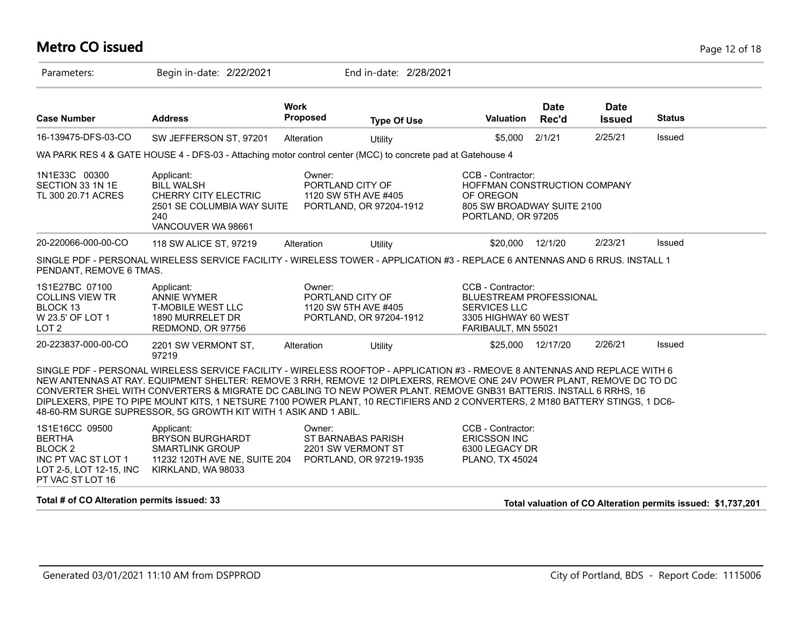#### **Metro CO issued** Page 12 of 18

| Parameters:                                                                                                             | Begin in-date: 2/22/2021                                                                                                                                                                                                                                                                                                                                                                                                                                                                                                                                                      |                                                    | End in-date: 2/28/2021  |                                                                                                                           |                      |                              |                                                              |
|-------------------------------------------------------------------------------------------------------------------------|-------------------------------------------------------------------------------------------------------------------------------------------------------------------------------------------------------------------------------------------------------------------------------------------------------------------------------------------------------------------------------------------------------------------------------------------------------------------------------------------------------------------------------------------------------------------------------|----------------------------------------------------|-------------------------|---------------------------------------------------------------------------------------------------------------------------|----------------------|------------------------------|--------------------------------------------------------------|
| <b>Case Number</b>                                                                                                      | <b>Address</b>                                                                                                                                                                                                                                                                                                                                                                                                                                                                                                                                                                | <b>Work</b><br>Proposed                            | <b>Type Of Use</b>      | <b>Valuation</b>                                                                                                          | <b>Date</b><br>Rec'd | <b>Date</b><br><b>Issued</b> | <b>Status</b>                                                |
| 16-139475-DFS-03-CO                                                                                                     | SW JEFFERSON ST, 97201                                                                                                                                                                                                                                                                                                                                                                                                                                                                                                                                                        | Alteration                                         | Utility                 | \$5,000                                                                                                                   | 2/1/21               | 2/25/21                      | Issued                                                       |
|                                                                                                                         | WA PARK RES 4 & GATE HOUSE 4 - DFS-03 - Attaching motor control center (MCC) to concrete pad at Gatehouse 4                                                                                                                                                                                                                                                                                                                                                                                                                                                                   |                                                    |                         |                                                                                                                           |                      |                              |                                                              |
| 1N1E33C 00300<br>SECTION 33 1N 1E<br>TL 300 20.71 ACRES                                                                 | Applicant:<br><b>BILL WALSH</b><br>CHERRY CITY ELECTRIC<br>2501 SE COLUMBIA WAY SUITE<br>240<br>VANCOUVER WA 98661                                                                                                                                                                                                                                                                                                                                                                                                                                                            | Owner:<br>PORTLAND CITY OF<br>1120 SW 5TH AVE #405 | PORTLAND, OR 97204-1912 | CCB - Contractor:<br>HOFFMAN CONSTRUCTION COMPANY<br>OF OREGON<br>805 SW BROADWAY SUITE 2100<br>PORTLAND, OR 97205        |                      |                              |                                                              |
| 20-220066-000-00-CO                                                                                                     | 118 SW ALICE ST, 97219                                                                                                                                                                                                                                                                                                                                                                                                                                                                                                                                                        | Alteration                                         | Utility                 | \$20,000                                                                                                                  | 12/1/20              | 2/23/21                      | Issued                                                       |
| PENDANT, REMOVE 6 TMAS.                                                                                                 | SINGLE PDF - PERSONAL WIRELESS SERVICE FACILITY - WIRELESS TOWER - APPLICATION #3 - REPLACE 6 ANTENNAS AND 6 RRUS. INSTALL 1                                                                                                                                                                                                                                                                                                                                                                                                                                                  |                                                    |                         |                                                                                                                           |                      |                              |                                                              |
| 1S1E27BC 07100<br><b>COLLINS VIEW TR</b><br>BLOCK 13<br>W 23.5' OF LOT 1<br>LOT <sub>2</sub>                            | Applicant:<br><b>ANNIE WYMER</b><br><b>T-MOBILE WEST LLC</b><br>1890 MURRELET DR<br>REDMOND, OR 97756                                                                                                                                                                                                                                                                                                                                                                                                                                                                         | Owner:<br>PORTLAND CITY OF<br>1120 SW 5TH AVE #405 | PORTLAND, OR 97204-1912 | CCB - Contractor:<br><b>BLUESTREAM PROFESSIONAL</b><br><b>SERVICES LLC</b><br>3305 HIGHWAY 60 WEST<br>FARIBAULT, MN 55021 |                      |                              |                                                              |
| 20-223837-000-00-CO                                                                                                     | 2201 SW VERMONT ST,<br>97219                                                                                                                                                                                                                                                                                                                                                                                                                                                                                                                                                  | Alteration                                         | Utility                 | \$25,000 12/17/20                                                                                                         |                      | 2/26/21                      | Issued                                                       |
|                                                                                                                         | SINGLE PDF - PERSONAL WIRELESS SERVICE FACILITY - WIRELESS ROOFTOP - APPLICATION #3 - RMEOVE 8 ANTENNAS AND REPLACE WITH 6<br>NEW ANTENNAS AT RAY. EQUIPMENT SHELTER: REMOVE 3 RRH, REMOVE 12 DIPLEXERS, REMOVE ONE 24V POWER PLANT, REMOVE DC TO DC<br>CONVERTER SHEL WITH CONVERTERS & MIGRATE DC CABLING TO NEW POWER PLANT. REMOVE GNB31 BATTERIS. INSTALL 6 RRHS, 16<br>DIPLEXERS, PIPE TO PIPE MOUNT KITS, 1 NETSURE 7100 POWER PLANT, 10 RECTIFIERS AND 2 CONVERTERS, 2 M180 BATTERY STINGS, 1 DC6-<br>48-60-RM SURGE SUPRESSOR, 5G GROWTH KIT WITH 1 ASIK AND 1 ABIL. |                                                    |                         |                                                                                                                           |                      |                              |                                                              |
| 1S1E16CC 09500<br><b>BERTHA</b><br><b>BLOCK 2</b><br>INC PT VAC ST LOT 1<br>LOT 2-5, LOT 12-15, INC<br>PT VAC ST LOT 16 | Applicant:<br><b>BRYSON BURGHARDT</b><br><b>SMARTLINK GROUP</b><br>11232 120TH AVE NE, SUITE 204<br>KIRKLAND, WA 98033                                                                                                                                                                                                                                                                                                                                                                                                                                                        | Owner:<br>ST BARNABAS PARISH<br>2201 SW VERMONT ST | PORTLAND, OR 97219-1935 | CCB - Contractor:<br><b>ERICSSON INC</b><br>6300 LEGACY DR<br>PLANO, TX 45024                                             |                      |                              |                                                              |
| Total # of CO Alteration permits issued: 33                                                                             |                                                                                                                                                                                                                                                                                                                                                                                                                                                                                                                                                                               |                                                    |                         |                                                                                                                           |                      |                              | Total valuation of CO Alteration permits issued: \$1,737,201 |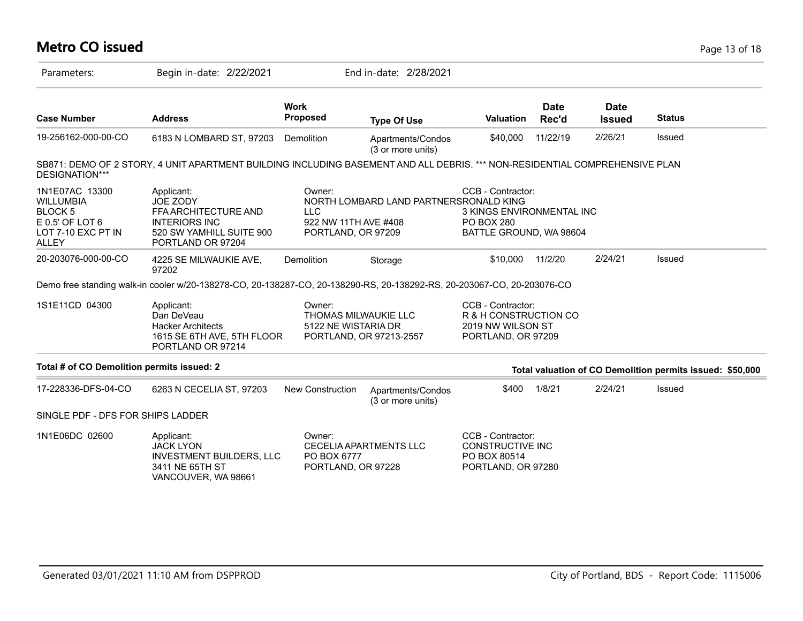# **Metro CO issued** Page 13 of 18

| Parameters:                                                                                                     | Begin in-date: 2/22/2021                                                                                                    |                                                                    | End in-date: 2/28/2021                 |                                                                                                |                      |                              |                                                           |
|-----------------------------------------------------------------------------------------------------------------|-----------------------------------------------------------------------------------------------------------------------------|--------------------------------------------------------------------|----------------------------------------|------------------------------------------------------------------------------------------------|----------------------|------------------------------|-----------------------------------------------------------|
| <b>Case Number</b>                                                                                              | <b>Address</b>                                                                                                              | <b>Work</b><br>Proposed                                            | <b>Type Of Use</b>                     | <b>Valuation</b>                                                                               | <b>Date</b><br>Rec'd | <b>Date</b><br><b>Issued</b> | <b>Status</b>                                             |
| 19-256162-000-00-CO                                                                                             | 6183 N LOMBARD ST, 97203                                                                                                    | Demolition                                                         | Apartments/Condos<br>(3 or more units) | \$40,000                                                                                       | 11/22/19             | 2/26/21                      | <b>Issued</b>                                             |
| DESIGNATION***                                                                                                  | SB871: DEMO OF 2 STORY, 4 UNIT APARTMENT BUILDING INCLUDING BASEMENT AND ALL DEBRIS. *** NON-RESIDENTIAL COMPREHENSIVE PLAN |                                                                    |                                        |                                                                                                |                      |                              |                                                           |
| 1N1E07AC 13300<br><b>WILLUMBIA</b><br><b>BLOCK 5</b><br>$E$ 0.5' OF LOT 6<br>LOT 7-10 EXC PT IN<br><b>ALLEY</b> | Applicant:<br>JOE ZODY<br>FFA ARCHITECTURE AND<br><b>INTERIORS INC</b><br>520 SW YAMHILL SUITE 900<br>PORTLAND OR 97204     | Owner:<br><b>LLC</b><br>922 NW 11TH AVE #408<br>PORTLAND, OR 97209 | NORTH LOMBARD LAND PARTNERSRONALD KING | CCB - Contractor:<br>3 KINGS ENVIRONMENTAL INC<br><b>PO BOX 280</b><br>BATTLE GROUND, WA 98604 |                      |                              |                                                           |
| 20-203076-000-00-CO                                                                                             | 4225 SE MILWAUKIE AVE,<br>97202                                                                                             | Demolition                                                         | Storage                                | \$10,000                                                                                       | 11/2/20              | 2/24/21                      | Issued                                                    |
|                                                                                                                 | Demo free standing walk-in cooler w/20-138278-CO, 20-138287-CO, 20-138290-RS, 20-138292-RS, 20-203067-CO, 20-203076-CO      |                                                                    |                                        |                                                                                                |                      |                              |                                                           |
| 1S1E11CD 04300                                                                                                  | Applicant:<br>Dan DeVeau<br><b>Hacker Architects</b><br>1615 SE 6TH AVE, 5TH FLOOR<br>PORTLAND OR 97214                     | Owner:<br>THOMAS MILWAUKIE LLC<br>5122 NE WISTARIA DR              | PORTLAND, OR 97213-2557                | CCB - Contractor:<br>R & H CONSTRUCTION CO<br>2019 NW WILSON ST<br>PORTLAND, OR 97209          |                      |                              |                                                           |
| Total # of CO Demolition permits issued: 2                                                                      |                                                                                                                             |                                                                    |                                        |                                                                                                |                      |                              | Total valuation of CO Demolition permits issued: \$50,000 |
| 17-228336-DFS-04-CO                                                                                             | 6263 N CECELIA ST, 97203                                                                                                    | New Construction                                                   | Apartments/Condos<br>(3 or more units) | \$400                                                                                          | 1/8/21               | 2/24/21                      | Issued                                                    |
| SINGLE PDF - DFS FOR SHIPS LADDER                                                                               |                                                                                                                             |                                                                    |                                        |                                                                                                |                      |                              |                                                           |
| 1N1E06DC 02600                                                                                                  | Applicant:<br><b>JACK LYON</b><br><b>INVESTMENT BUILDERS, LLC</b><br>3411 NE 65TH ST<br>VANCOUVER, WA 98661                 | Owner:<br>PO BOX 6777<br>PORTLAND, OR 97228                        | CECELIA APARTMENTS LLC                 | CCB - Contractor:<br>CONSTRUCTIVE INC<br>PO BOX 80514<br>PORTLAND, OR 97280                    |                      |                              |                                                           |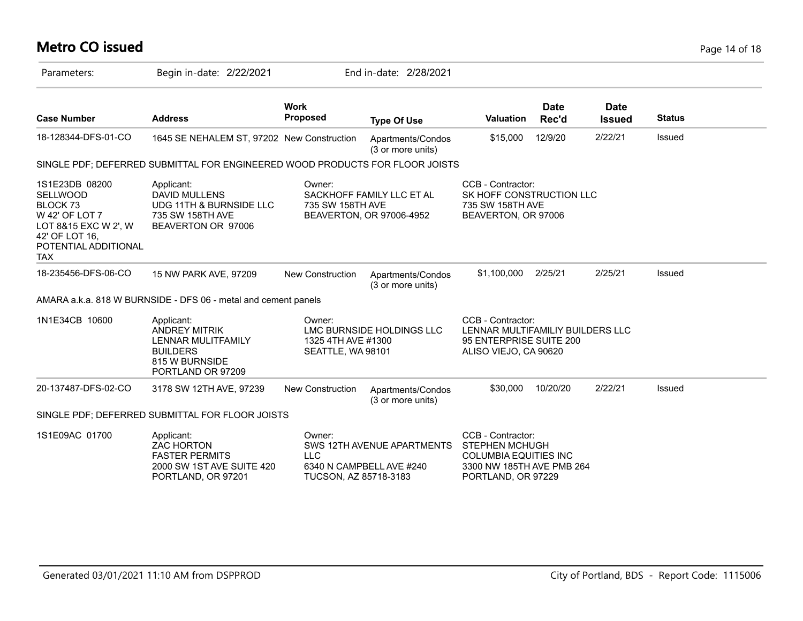# **Metro CO issued** Page 14 of 18

| Parameters:                                                                                                                                                | Begin in-date: 2/22/2021                                                                                           |                                                                                | End in-date: 2/28/2021                                 |                                                                                                                               |                      |                              |               |
|------------------------------------------------------------------------------------------------------------------------------------------------------------|--------------------------------------------------------------------------------------------------------------------|--------------------------------------------------------------------------------|--------------------------------------------------------|-------------------------------------------------------------------------------------------------------------------------------|----------------------|------------------------------|---------------|
| <b>Case Number</b>                                                                                                                                         | <b>Address</b>                                                                                                     | <b>Work</b><br><b>Proposed</b>                                                 | <b>Type Of Use</b>                                     | <b>Valuation</b>                                                                                                              | <b>Date</b><br>Rec'd | <b>Date</b><br><b>Issued</b> | <b>Status</b> |
| 18-128344-DFS-01-CO                                                                                                                                        | 1645 SE NEHALEM ST, 97202 New Construction                                                                         |                                                                                | Apartments/Condos<br>(3 or more units)                 | \$15,000                                                                                                                      | 12/9/20              | 2/22/21                      | Issued        |
|                                                                                                                                                            | SINGLE PDF; DEFERRED SUBMITTAL FOR ENGINEERED WOOD PRODUCTS FOR FLOOR JOISTS                                       |                                                                                |                                                        |                                                                                                                               |                      |                              |               |
| 1S1E23DB 08200<br><b>SELLWOOD</b><br>BLOCK <sub>73</sub><br>W 42' OF LOT 7<br>LOT 8&15 EXC W 2', W<br>42' OF LOT 16.<br>POTENTIAL ADDITIONAL<br><b>TAX</b> | Applicant:<br><b>DAVID MULLENS</b><br>UDG 11TH & BURNSIDE LLC<br>735 SW 158TH AVE<br>BEAVERTON OR 97006            | Owner:<br>735 SW 158TH AVE                                                     | SACKHOFF FAMILY LLC ET AL<br>BEAVERTON, OR 97006-4952  | CCB - Contractor:<br>SK HOFF CONSTRUCTION LLC<br>735 SW 158TH AVE<br>BEAVERTON, OR 97006                                      |                      |                              |               |
| 18-235456-DFS-06-CO                                                                                                                                        | 15 NW PARK AVE, 97209                                                                                              | <b>New Construction</b>                                                        | Apartments/Condos<br>(3 or more units)                 | \$1,100,000                                                                                                                   | 2/25/21              | 2/25/21                      | Issued        |
|                                                                                                                                                            | AMARA a.k.a. 818 W BURNSIDE - DFS 06 - metal and cement panels                                                     |                                                                                |                                                        |                                                                                                                               |                      |                              |               |
| 1N1E34CB 10600                                                                                                                                             | Applicant:<br><b>ANDREY MITRIK</b><br>LENNAR MULITFAMILY<br><b>BUILDERS</b><br>815 W BURNSIDE<br>PORTLAND OR 97209 | Owner:<br>LMC BURNSIDE HOLDINGS LLC<br>1325 4TH AVE #1300<br>SEATTLE, WA 98101 |                                                        | CCB - Contractor:<br>LENNAR MULTIFAMILIY BUILDERS LLC<br>95 ENTERPRISE SUITE 200<br>ALISO VIEJO, CA 90620                     |                      |                              |               |
| 20-137487-DFS-02-CO                                                                                                                                        | 3178 SW 12TH AVE, 97239                                                                                            | New Construction                                                               | Apartments/Condos<br>(3 or more units)                 | \$30,000                                                                                                                      | 10/20/20             | 2/22/21                      | Issued        |
|                                                                                                                                                            | SINGLE PDF; DEFERRED SUBMITTAL FOR FLOOR JOISTS                                                                    |                                                                                |                                                        |                                                                                                                               |                      |                              |               |
| 1S1E09AC 01700                                                                                                                                             | Applicant:<br><b>ZAC HORTON</b><br><b>FASTER PERMITS</b><br>2000 SW 1ST AVE SUITE 420<br>PORTLAND, OR 97201        | Owner:<br><b>LLC</b><br>TUCSON, AZ 85718-3183                                  | SWS 12TH AVENUE APARTMENTS<br>6340 N CAMPBELL AVE #240 | CCB - Contractor:<br><b>STEPHEN MCHUGH</b><br><b>COLUMBIA EQUITIES INC</b><br>3300 NW 185TH AVE PMB 264<br>PORTLAND, OR 97229 |                      |                              |               |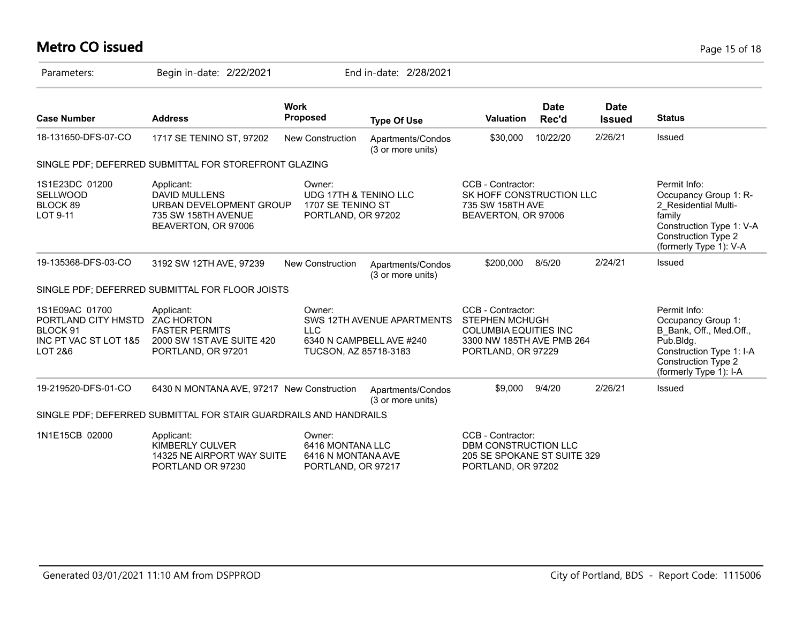# **Metro CO issued** Page 15 of 18

| Parameters:                                                                           | Begin in-date: 2/22/2021                                                                                    | End in-date: 2/28/2021                                                                |                                                        |                                                                                                                               |                      |                              |                                                                                                                                                             |
|---------------------------------------------------------------------------------------|-------------------------------------------------------------------------------------------------------------|---------------------------------------------------------------------------------------|--------------------------------------------------------|-------------------------------------------------------------------------------------------------------------------------------|----------------------|------------------------------|-------------------------------------------------------------------------------------------------------------------------------------------------------------|
| <b>Case Number</b>                                                                    | <b>Address</b>                                                                                              | <b>Work</b><br><b>Proposed</b>                                                        | <b>Type Of Use</b>                                     | <b>Valuation</b>                                                                                                              | <b>Date</b><br>Rec'd | <b>Date</b><br><b>Issued</b> | <b>Status</b>                                                                                                                                               |
| 18-131650-DFS-07-CO                                                                   | 1717 SE TENINO ST, 97202                                                                                    | <b>New Construction</b>                                                               | Apartments/Condos<br>(3 or more units)                 | \$30,000                                                                                                                      | 10/22/20             | 2/26/21                      | Issued                                                                                                                                                      |
|                                                                                       | SINGLE PDF; DEFERRED SUBMITTAL FOR STOREFRONT GLAZING                                                       |                                                                                       |                                                        |                                                                                                                               |                      |                              |                                                                                                                                                             |
| 1S1E23DC 01200<br><b>SELLWOOD</b><br>BLOCK 89<br>LOT 9-11                             | Applicant:<br>DAVID MULLENS<br>URBAN DEVELOPMENT GROUP<br>735 SW 158TH AVENUE<br>BEAVERTON, OR 97006        | Owner:<br><b>UDG 17TH &amp; TENINO LLC</b><br>1707 SE TENINO ST<br>PORTLAND, OR 97202 |                                                        | CCB - Contractor:<br>SK HOFF CONSTRUCTION LLC<br>735 SW 158TH AVE<br>BEAVERTON, OR 97006                                      |                      |                              | Permit Info:<br>Occupancy Group 1: R-<br>2 Residential Multi-<br>family<br>Construction Type 1: V-A<br><b>Construction Type 2</b><br>(formerly Type 1): V-A |
| 19-135368-DFS-03-CO                                                                   | 3192 SW 12TH AVE, 97239                                                                                     | New Construction                                                                      | Apartments/Condos<br>(3 or more units)                 | \$200,000                                                                                                                     | 8/5/20               | 2/24/21                      | Issued                                                                                                                                                      |
|                                                                                       | SINGLE PDF; DEFERRED SUBMITTAL FOR FLOOR JOISTS                                                             |                                                                                       |                                                        |                                                                                                                               |                      |                              |                                                                                                                                                             |
| 1S1E09AC 01700<br>PORTLAND CITY HMSTD<br>BLOCK 91<br>INC PT VAC ST LOT 1&5<br>LOT 2&6 | Applicant:<br><b>ZAC HORTON</b><br><b>FASTER PERMITS</b><br>2000 SW 1ST AVE SUITE 420<br>PORTLAND, OR 97201 | Owner:<br><b>LLC</b><br>TUCSON, AZ 85718-3183                                         | SWS 12TH AVENUE APARTMENTS<br>6340 N CAMPBELL AVE #240 | CCB - Contractor:<br><b>STEPHEN MCHUGH</b><br><b>COLUMBIA EQUITIES INC</b><br>3300 NW 185TH AVE PMB 264<br>PORTLAND, OR 97229 |                      |                              | Permit Info:<br>Occupancy Group 1:<br>B Bank, Off., Med.Off.,<br>Pub.Bldg.<br>Construction Type 1: I-A<br>Construction Type 2<br>(formerly Type 1): I-A     |
| 19-219520-DFS-01-CO                                                                   | 6430 N MONTANA AVE, 97217 New Construction                                                                  |                                                                                       | Apartments/Condos<br>(3 or more units)                 | \$9,000                                                                                                                       | 9/4/20               | 2/26/21                      | Issued                                                                                                                                                      |
|                                                                                       | SINGLE PDF; DEFERRED SUBMITTAL FOR STAIR GUARDRAILS AND HANDRAILS                                           |                                                                                       |                                                        |                                                                                                                               |                      |                              |                                                                                                                                                             |
| 1N1E15CB 02000                                                                        | Applicant:<br>KIMBERLY CULVER<br>14325 NE AIRPORT WAY SUITE<br>PORTLAND OR 97230                            | Owner:<br>6416 MONTANA LLC<br>6416 N MONTANA AVE<br>PORTLAND, OR 97217                |                                                        | CCB - Contractor:<br>DBM CONSTRUCTION LLC<br>205 SE SPOKANE ST SUITE 329<br>PORTLAND, OR 97202                                |                      |                              |                                                                                                                                                             |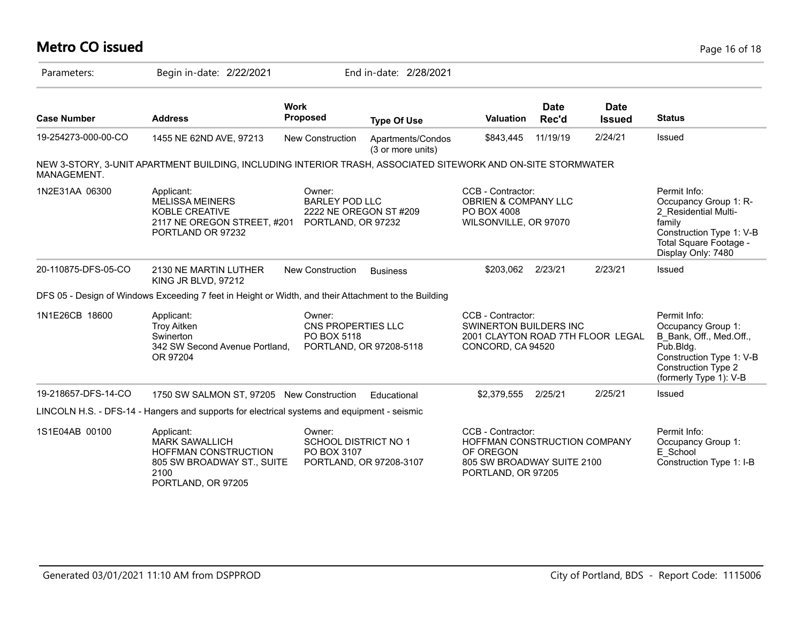## **Metro CO issued** Page 16 of 18

| Parameters:         | Begin in-date: 2/22/2021                                                                                                       |                                                                                 | End in-date: 2/28/2021                 |                                                                                                                    |                      |                              |                                                                                                                                                         |
|---------------------|--------------------------------------------------------------------------------------------------------------------------------|---------------------------------------------------------------------------------|----------------------------------------|--------------------------------------------------------------------------------------------------------------------|----------------------|------------------------------|---------------------------------------------------------------------------------------------------------------------------------------------------------|
| <b>Case Number</b>  | <b>Address</b>                                                                                                                 | <b>Work</b><br>Proposed                                                         | <b>Type Of Use</b>                     | <b>Valuation</b>                                                                                                   | <b>Date</b><br>Rec'd | <b>Date</b><br><b>Issued</b> | <b>Status</b>                                                                                                                                           |
| 19-254273-000-00-CO | 1455 NE 62ND AVE, 97213                                                                                                        | New Construction                                                                | Apartments/Condos<br>(3 or more units) | \$843,445                                                                                                          | 11/19/19             | 2/24/21                      | Issued                                                                                                                                                  |
| MANAGEMENT.         | NEW 3-STORY, 3-UNIT APARTMENT BUILDING, INCLUDING INTERIOR TRASH, ASSOCIATED SITEWORK AND ON-SITE STORMWATER                   |                                                                                 |                                        |                                                                                                                    |                      |                              |                                                                                                                                                         |
| 1N2E31AA 06300      | Applicant:<br><b>MELISSA MEINERS</b><br>KOBLE CREATIVE<br>2117 NE OREGON STREET, #201<br>PORTLAND OR 97232                     | Owner:<br><b>BARLEY POD LLC</b><br>2222 NE OREGON ST #209<br>PORTLAND, OR 97232 |                                        | CCB - Contractor:<br>OBRIEN & COMPANY LLC<br>PO BOX 4008<br>WILSONVILLE, OR 97070                                  |                      |                              | Permit Info:<br>Occupancy Group 1: R-<br>2 Residential Multi-<br>family<br>Construction Type 1: V-B<br>Total Square Footage -<br>Display Only: 7480     |
| 20-110875-DFS-05-CO | 2130 NE MARTIN LUTHER<br>KING JR BLVD, 97212                                                                                   | <b>New Construction</b>                                                         | <b>Business</b>                        | \$203,062                                                                                                          | 2/23/21              | 2/23/21                      | Issued                                                                                                                                                  |
|                     | DFS 05 - Design of Windows Exceeding 7 feet in Height or Width, and their Attachment to the Building                           |                                                                                 |                                        |                                                                                                                    |                      |                              |                                                                                                                                                         |
| 1N1E26CB 18600      | Applicant:<br><b>Troy Aitken</b><br>Swinerton<br>342 SW Second Avenue Portland.<br>OR 97204                                    | Owner:<br>CNS PROPERTIES LLC<br>PO BOX 5118                                     | PORTLAND, OR 97208-5118                | CCB - Contractor:<br><b>SWINERTON BUILDERS INC</b><br>2001 CLAYTON ROAD 7TH FLOOR LEGAL<br>CONCORD, CA 94520       |                      |                              | Permit Info:<br>Occupancy Group 1:<br>B Bank, Off., Med.Off.,<br>Pub.Bldg.<br>Construction Type 1: V-B<br>Construction Type 2<br>(formerly Type 1): V-B |
| 19-218657-DFS-14-CO | 1750 SW SALMON ST, 97205 New Construction                                                                                      |                                                                                 | Educational                            | \$2,379,555                                                                                                        | 2/25/21              | 2/25/21                      | Issued                                                                                                                                                  |
|                     | LINCOLN H.S. - DFS-14 - Hangers and supports for electrical systems and equipment - seismic                                    |                                                                                 |                                        |                                                                                                                    |                      |                              |                                                                                                                                                         |
| 1S1E04AB 00100      | Applicant:<br><b>MARK SAWALLICH</b><br><b>HOFFMAN CONSTRUCTION</b><br>805 SW BROADWAY ST., SUITE<br>2100<br>PORTLAND, OR 97205 | Owner:<br><b>SCHOOL DISTRICT NO 1</b><br>PO BOX 3107                            | PORTLAND, OR 97208-3107                | CCB - Contractor:<br>HOFFMAN CONSTRUCTION COMPANY<br>OF OREGON<br>805 SW BROADWAY SUITE 2100<br>PORTLAND, OR 97205 |                      |                              | Permit Info:<br>Occupancy Group 1:<br>E School<br>Construction Type 1: I-B                                                                              |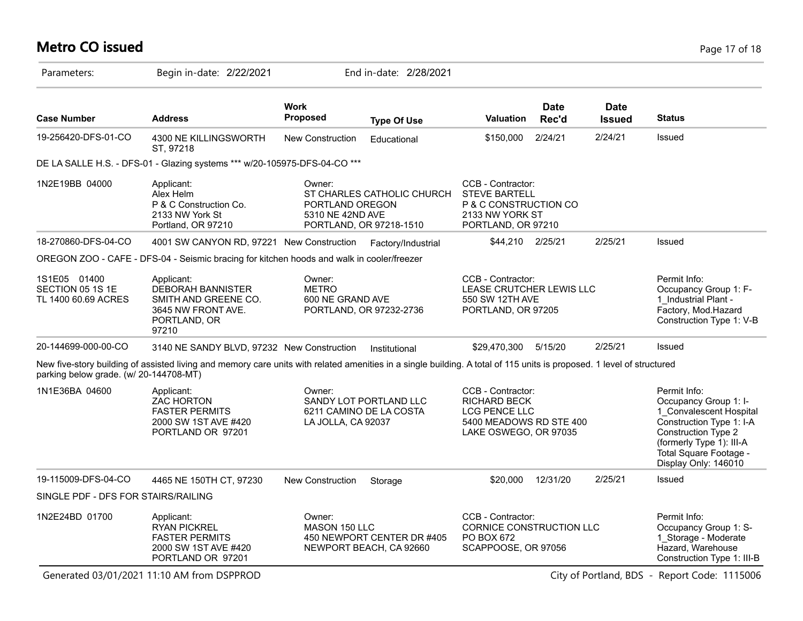# **Metro CO issued** Page 17 of 18

| Parameters:                                             |                                                                                                                                                                       |                                               |                                                       |                                                                                                                      |                      |                              |                                                                                                                                                                                                   |
|---------------------------------------------------------|-----------------------------------------------------------------------------------------------------------------------------------------------------------------------|-----------------------------------------------|-------------------------------------------------------|----------------------------------------------------------------------------------------------------------------------|----------------------|------------------------------|---------------------------------------------------------------------------------------------------------------------------------------------------------------------------------------------------|
| <b>Case Number</b>                                      | <b>Address</b>                                                                                                                                                        | <b>Work</b><br>Proposed                       | <b>Type Of Use</b>                                    | <b>Valuation</b>                                                                                                     | <b>Date</b><br>Rec'd | <b>Date</b><br><b>Issued</b> | <b>Status</b>                                                                                                                                                                                     |
| 19-256420-DFS-01-CO                                     | 4300 NE KILLINGSWORTH<br>ST, 97218                                                                                                                                    | <b>New Construction</b>                       | Educational                                           | \$150,000                                                                                                            | 2/24/21              | 2/24/21                      | Issued                                                                                                                                                                                            |
|                                                         | DE LA SALLE H.S. - DFS-01 - Glazing systems *** w/20-105975-DFS-04-CO ***                                                                                             |                                               |                                                       |                                                                                                                      |                      |                              |                                                                                                                                                                                                   |
| 1N2E19BB 04000                                          | Applicant:<br>Alex Helm<br>P & C Construction Co.<br>2133 NW York St<br>Portland, OR 97210                                                                            | Owner:<br>PORTLAND OREGON<br>5310 NE 42ND AVE | ST CHARLES CATHOLIC CHURCH<br>PORTLAND, OR 97218-1510 | CCB - Contractor:<br><b>STEVE BARTELL</b><br>P & C CONSTRUCTION CO<br>2133 NW YORK ST<br>PORTLAND, OR 97210          |                      |                              |                                                                                                                                                                                                   |
| 18-270860-DFS-04-CO                                     | 4001 SW CANYON RD, 97221 New Construction                                                                                                                             |                                               | Factory/Industrial                                    | \$44,210 2/25/21                                                                                                     |                      | 2/25/21                      | Issued                                                                                                                                                                                            |
|                                                         | OREGON ZOO - CAFE - DFS-04 - Seismic bracing for kitchen hoods and walk in cooler/freezer                                                                             |                                               |                                                       |                                                                                                                      |                      |                              |                                                                                                                                                                                                   |
| 1S1E05 01400<br>SECTION 05 1S 1E<br>TL 1400 60.69 ACRES | Applicant:<br>DEBORAH BANNISTER<br>SMITH AND GREENE CO.<br>3645 NW FRONT AVE.<br>PORTLAND, OR<br>97210                                                                | Owner:<br><b>METRO</b><br>600 NE GRAND AVE    | PORTLAND, OR 97232-2736                               | CCB - Contractor:<br>LEASE CRUTCHER LEWIS LLC<br>550 SW 12TH AVE<br>PORTLAND, OR 97205                               |                      |                              | Permit Info:<br>Occupancy Group 1: F-<br>1 Industrial Plant -<br>Factory, Mod.Hazard<br>Construction Type 1: V-B                                                                                  |
| 20-144699-000-00-CO                                     | 3140 NE SANDY BLVD, 97232 New Construction                                                                                                                            |                                               | Institutional                                         | \$29,470,300 5/15/20                                                                                                 |                      | 2/25/21                      | Issued                                                                                                                                                                                            |
| parking below grade. (w/ 20-144708-MT)                  | New five-story building of assisted living and memory care units with related amenities in a single building. A total of 115 units is proposed. 1 level of structured |                                               |                                                       |                                                                                                                      |                      |                              |                                                                                                                                                                                                   |
| 1N1E36BA 04600                                          | Applicant:<br><b>ZAC HORTON</b><br><b>FASTER PERMITS</b><br>2000 SW 1ST AVE #420<br>PORTLAND OR 97201                                                                 | Owner:<br>LA JOLLA, CA 92037                  | SANDY LOT PORTLAND LLC<br>6211 CAMINO DE LA COSTA     | CCB - Contractor:<br><b>RICHARD BECK</b><br><b>LCG PENCE LLC</b><br>5400 MEADOWS RD STE 400<br>LAKE OSWEGO, OR 97035 |                      |                              | Permit Info:<br>Occupancy Group 1: I-<br>1 Convalescent Hospital<br>Construction Type 1: I-A<br>Construction Type 2<br>(formerly Type 1): III-A<br>Total Square Footage -<br>Display Only: 146010 |
| 19-115009-DFS-04-CO                                     | 4465 NE 150TH CT, 97230                                                                                                                                               | <b>New Construction</b>                       | Storage                                               | \$20,000                                                                                                             | 12/31/20             | 2/25/21                      | Issued                                                                                                                                                                                            |
| SINGLE PDF - DFS FOR STAIRS/RAILING                     |                                                                                                                                                                       |                                               |                                                       |                                                                                                                      |                      |                              |                                                                                                                                                                                                   |
| 1N2E24BD 01700                                          | Applicant:<br><b>RYAN PICKREL</b><br><b>FASTER PERMITS</b><br>2000 SW 1ST AVE #420<br>PORTLAND OR 97201                                                               | Owner:<br>MASON 150 LLC                       | 450 NEWPORT CENTER DR #405<br>NEWPORT BEACH, CA 92660 | CCB - Contractor:<br>CORNICE CONSTRUCTION LLC<br>PO BOX 672<br>SCAPPOOSE, OR 97056                                   |                      |                              | Permit Info:<br>Occupancy Group 1: S-<br>1 Storage - Moderate<br>Hazard, Warehouse<br>Construction Type 1: III-B                                                                                  |

Generated 03/01/2021 11:10 AM from DSPPROD City of Portland, BDS - Report Code: 1115006